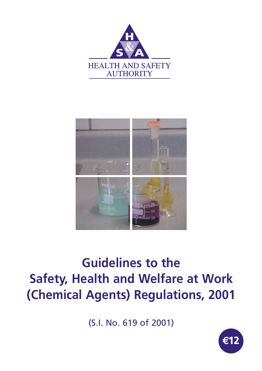



## **Guidelines to the Safety, Health and Welfare at Work (Chemical Agents) Regulations, 2001**

(S.I. No. 619 of 2001)

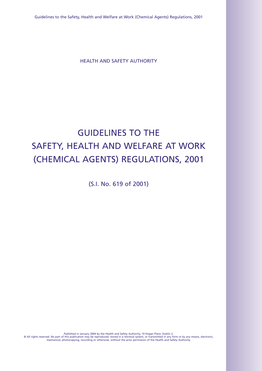Guidelines to the Safety, Health and Welfare at Work (Chemical Agents) Regulations, 2001

HEALTH AND SAFETY AUTHORITY

### GUIDELINES TO THE SAFETY, HEALTH AND WELFARE AT WORK (CHEMICAL AGENTS) REGULATIONS, 2001

(S.I. No. 619 of 2001)

Published in January 2004 by the Health and Safety Authority, 10 Hogan Place, Dublin 2. © All rights reserved. No part of this publication may be reproduced, stored in a retrieval system, or transmitted in any form or by any means, electronic,<br>mechanical, photocopying, recording or otherwise, without the prio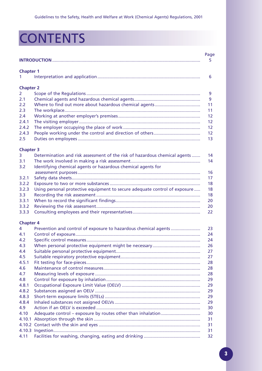# **CONTENTS**

|                       |                                                                            | Page<br>5.      |
|-----------------------|----------------------------------------------------------------------------|-----------------|
| <b>Chapter 1</b>      |                                                                            |                 |
| 1                     |                                                                            | 6               |
| <b>Chapter 2</b>      |                                                                            |                 |
| $\mathbf{2}^{\prime}$ |                                                                            | 9               |
| 2.1                   |                                                                            | 9               |
| 2.2                   |                                                                            | 11              |
| 2.3                   |                                                                            | 11              |
| 2.4                   |                                                                            | 12              |
| 2.4.1                 |                                                                            | 12              |
| 2.4.2                 |                                                                            | 12 <sup>2</sup> |
| 2.4.3                 |                                                                            | 12 <sup>2</sup> |
| 2.5                   |                                                                            | 13              |
| <b>Chapter 3</b>      |                                                                            |                 |
| 3                     | Determination and risk assessment of the risk of hazardous chemical agents | 14              |
| 3.1                   |                                                                            | 14              |
| 3.2                   | Identifying chemical agents or hazardous chemical agents for               |                 |
|                       |                                                                            | 16              |
| 3.2.1                 |                                                                            | 17              |
| 3.2.2                 |                                                                            | 18              |
| 3.2.3                 | Using personal protective equipment to secure adequate control of exposure | 18              |
| 3.3 <sub>2</sub>      |                                                                            | 18              |
| 3.3.1                 |                                                                            | 20              |
| 3.3.2                 |                                                                            | 20              |
| 3.3.3                 |                                                                            | 22              |
| <b>Chapter 4</b>      |                                                                            |                 |
| 4                     | Prevention and control of exposure to hazardous chemical agents            | 23              |
| 4.1                   |                                                                            | 24              |
| 4.2                   |                                                                            | 24              |
| 4.3                   |                                                                            | 26              |
| 4.4                   |                                                                            | 27              |
| 4.5                   |                                                                            | 27              |
| 4.5.1                 |                                                                            | 28              |
| 4.6                   |                                                                            | 28              |
| 4.7                   |                                                                            | 28              |
| 4.8                   |                                                                            | 29              |
| 4.8.1                 |                                                                            | 29              |
| 4.8.2                 |                                                                            | 29              |
| 4.8.3                 |                                                                            | 29              |
| 4.8.4                 |                                                                            | 29              |
| 4.9                   |                                                                            | 30              |
| 4.10                  |                                                                            | 30              |
|                       |                                                                            | 31              |
|                       |                                                                            | 31              |
|                       |                                                                            | 31              |
| 4.11                  |                                                                            | 32              |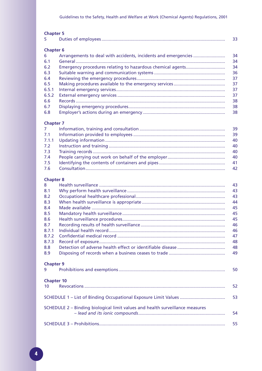| <b>Chapter 5</b> |    |
|------------------|----|
| 5.               | 33 |
|                  |    |
| <b>Chapter 6</b> |    |
| 6                | 34 |
| 6.1              | 34 |
| 6.2              | 34 |
| 6.3              | 36 |
| 6.4              | 37 |
| 6.5              | 37 |
| 6.5.1            | 37 |
| 6.5.2            | 37 |
| 6.6              | 38 |
| 6.7              | 38 |
| 6.8              | 38 |
| <b>Chapter 7</b> |    |
| 7                | 39 |
| 7.1              | 39 |
| 7.1.1            | 40 |

|  | - 40 |
|--|------|
|  | -40  |
|  |      |
|  |      |
|  | - 42 |

#### **Chapter 8**

| 8                 |                                                                               | 43 |  |  |
|-------------------|-------------------------------------------------------------------------------|----|--|--|
|                   |                                                                               |    |  |  |
| 8.1               |                                                                               | 43 |  |  |
| 8.2               |                                                                               | 43 |  |  |
| 8.3               |                                                                               | 44 |  |  |
| 8.4               |                                                                               | 45 |  |  |
| 8.5               |                                                                               | 45 |  |  |
| 8.6               |                                                                               | 45 |  |  |
| 8.7               |                                                                               |    |  |  |
| 8.7.1             |                                                                               | 46 |  |  |
| 8.7.2             |                                                                               | 47 |  |  |
| 8.7.3             |                                                                               | 48 |  |  |
| 8.8               |                                                                               | 48 |  |  |
| 8.9               |                                                                               | 49 |  |  |
| <b>Chapter 9</b>  |                                                                               |    |  |  |
| 9                 |                                                                               | 50 |  |  |
| <b>Chapter 10</b> |                                                                               |    |  |  |
| 10 <sup>°</sup>   |                                                                               | 52 |  |  |
|                   |                                                                               |    |  |  |
|                   |                                                                               | 53 |  |  |
|                   | SCHEDULE 2 - Binding biological limit values and health surveillance measures |    |  |  |
|                   |                                                                               | 54 |  |  |
|                   |                                                                               | 55 |  |  |
|                   |                                                                               |    |  |  |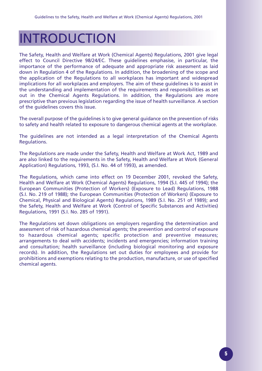# INTRODUCTION

The Safety, Health and Welfare at Work (Chemical Agents) Regulations, 2001 give legal effect to Council Directive 98/24/EC. These guidelines emphasise, in particular, the importance of the performance of adequate and appropriate risk assessment as laid down in Regulation 4 of the Regulations. In addition, the broadening of the scope and the application of the Regulations to all workplaces has important and widespread implications for all workplaces and employers. The aim of these guidelines is to assist in the understanding and implementation of the requirements and responsibilities as set out in the Chemical Agents Regulations. In addition, the Regulations are more prescriptive than previous legislation regarding the issue of health surveillance. A section of the guidelines covers this issue.

The overall purpose of the guidelines is to give general guidance on the prevention of risks to safety and health related to exposure to dangerous chemical agents at the workplace.

The guidelines are not intended as a legal interpretation of the Chemical Agents Regulations.

The Regulations are made under the Safety, Health and Welfare at Work Act, 1989 and are also linked to the requirements in the Safety, Health and Welfare at Work (General Application) Regulations, 1993, (S.I. No. 44 of 1993), as amended.

The Regulations, which came into effect on 19 December 2001, revoked the Safety, Health and Welfare at Work (Chemical Agents) Regulations, 1994 (S.I. 445 of 1994); the European Communities (Protection of Workers) (Exposure to Lead) Regulations, 1988 (S.I. No. 219 of 1988); the European Communities (Protection of Workers) (Exposure to Chemical, Physical and Biological Agents) Regulations, 1989 (S.I. No. 251 of 1989); and the Safety, Health and Welfare at Work (Control of Specific Substances and Activities) Regulations, 1991 (S.I. No. 285 of 1991).

The Regulations set down obligations on employers regarding the determination and assessment of risk of hazardous chemical agents; the prevention and control of exposure to hazardous chemical agents; specific protection and preventive measures; arrangements to deal with accidents; incidents and emergencies; information training and consultation; health surveillance (including biological monitoring and exposure records). In addition, the Regulations set out duties for employees and provide for prohibitions and exemptions relating to the production, manufacture, or use of specified chemical agents.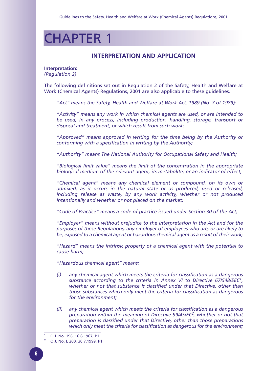## CHAPTER 1

### **INTERPRETATION AND APPLICATION**

**Interpretation:** *(Regulation 2)*

The following definitions set out in Regulation 2 of the Safety, Health and Welfare at Work (Chemical Agents) Regulations, 2001 are also applicable to these guidelines.

*"Act" means the Safety, Health and Welfare at Work Act, 1989 (No. 7 of 1989);* 

*"Activity" means any work in which chemical agents are used, or are intended to be used, in any process, including production, handling, storage, transport or disposal and treatment, or which result from such work;* 

*"Approved" means approved in writing for the time being by the Authority or conforming with a specification in writing by the Authority;*

*"Authority" means The National Authority for Occupational Safety and Health;*

*"Biological limit value" means the limit of the concentration in the appropriate biological medium of the relevant agent, its metabolite, or an indicator of effect;* 

*"Chemical agent" means any chemical element or compound, on its own or admixed, as it occurs in the natural state or as produced, used or released, including release as waste, by any work activity, whether or not produced intentionally and whether or not placed on the market;* 

*"Code of Practice" means a code of practice issued under Section 30 of the Act;*

*"Employer" means without prejudice to the interpretation in the Act and for the purposes of these Regulations, any employer of employees who are, or are likely to be, exposed to a chemical agent or hazardous chemical agent as a result of their work;*

*"Hazard" means the intrinsic property of a chemical agent with the potential to cause harm;*

*"Hazardous chemical agent" means:* 

- *(i) any chemical agent which meets the criteria for classification as a dangerous substance according to the criteria in Annex VI to Directive 67/548/EEC1, whether or not that substance is classified under that Directive, other than those substances which only meet the criteria for classification as dangerous for the environment;*
- *(ii) any chemical agent which meets the criteria for classification as a dangerous preparation within the meaning of Directive 99/45/EC2, whether or not that preparation is classified under that Directive, other than those preparations which only meet the criteria for classification as dangerous for the environment;*

<sup>1</sup> O.J. No. 196, 16.8.1967, P1

<sup>2</sup> O.J. No. L 200, 30.7.1999, P1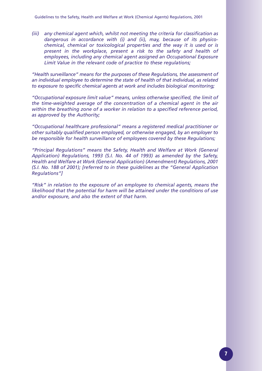*(iii) any chemical agent which, whilst not meeting the criteria for classification as dangerous in accordance with (i) and (ii), may, because of its physicochemical, chemical or toxicological properties and the way it is used or is present in the workplace, present a risk to the safety and health of employees, including any chemical agent assigned an Occupational Exposure Limit Value in the relevant code of practice to these regulations;*

*"Health surveillance" means for the purposes of these Regulations, the assessment of an individual employee to determine the state of health of that individual, as related to exposure to specific chemical agents at work and includes biological monitoring;*

*"Occupational exposure limit value" means, unless otherwise specified, the limit of the time-weighted average of the concentration of a chemical agent in the air within the breathing zone of a worker in relation to a specified reference period, as approved by the Authority;*

*"Occupational healthcare professional" means a registered medical practitioner or other suitably qualified person employed, or otherwise engaged, by an employer to be responsible for health surveillance of employees covered by these Regulations;*

*"Principal Regulations" means the Safety, Health and Welfare at Work (General Application) Regulations, 1993 (S.I. No. 44 of 1993) as amended by the Safety, Health and Welfare at Work (General Application) (Amendment) Regulations, 2001 (S.I. No. 188 of 2001); [referred to in these guidelines as the "General Application Regulations"]*

*"Risk" in relation to the exposure of an employee to chemical agents, means the likelihood that the potential for harm will be attained under the conditions of use and/or exposure, and also the extent of that harm.*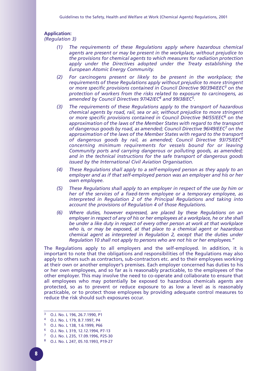### **Application:**

*(Regulation 3)*

- *(1) The requirements of these Regulations apply where hazardous chemical agents are present or may be present in the workplace, without prejudice to the provisions for chemical agents to which measures for radiation protection apply under the Directives adopted under the Treaty establishing the European Atomic Energy Community.*
- *(2) For carcinogens present or likely to be present in the workplace; the requirements of these Regulations apply without prejudice to more stringent or more specific provisions contained in Council Directive 90/394/EEC3 on the protection of workers from the risks related to exposure to carcinogens, as amended by Council Directives 97/42/EC4 and 99/38/EC5.*
- *(3) The requirements of these Regulations apply to the transport of hazardous chemical agents by road, rail, sea or air, without prejudice to more stringent or more specific provisions contained in Council Directive 94/55/EEC6 on the approximation of the laws of the Member States with regard to the transport of dangerous goods by road, as amended; Council Directive 96/49/EEC7 on the approximation of the laws of the Member States with regard to the transport of dangerous goods by rail, as amended; Council Directive 93/75/EEC8 concerning minimum requirements for vessels bound for or leaving Community ports and carrying dangerous or polluting goods, as amended; and in the technical instructions for the safe transport of dangerous goods issued by the International Civil Aviation Organisation.*
- *(4) These Regulations shall apply to a self-employed person as they apply to an employer and as if that self-employed person was an employer and his or her own employee.*
- *(5) These Regulations shall apply to an employer in respect of the use by him or her of the services of a fixed-term employee or a temporary employee, as interpreted in Regulation 2 of the Principal Regulations and taking into account the provisions of Regulation 4 of those Regulations.*
- *(6) Where duties, however expressed, are placed by these Regulations on an employer in respect of any of his or her employees at a workplace, he or she shall be under a like duty in respect of every other person at work at that workplace who is, or may be exposed, at that place to a chemical agent or hazardous chemical agent as interpreted in Regulation 2, except that the duties under Regulation 10 shall not apply to persons who are not his or her employees."*

The Regulations apply to all employers and the self-employed. In addition, it is important to note that the obligations and responsibilities of the Regulations may also apply to others such as contractors, sub-contractors etc. and to their employees working at their own or another employer's premises. Each employer concerned has duties to his or her own employees, and so far as is reasonably practicable, to the employees of the other employer. This may involve the need to co-operate and collaborate to ensure that all employees who may potentially be exposed to hazardous chemicals agents are protected, so as to prevent or reduce exposure to as low a level as is reasonably practicable, or to protect those employees by providing adequate control measures to reduce the risk should such exposures occur.

- <sup>3</sup> O.J. No. L 196, 26.7.1990, P1
- <sup>4</sup> O.J. No. L 179, 8.7.1997, P4
- <sup>5</sup> O.J. No. L 138, 1.6.1999, P66
- <sup>6</sup> O.J. No. L 319, 12.12.1994, P7-13
- <sup>7</sup> O.J. No. L 235, 17.09.1996, P25-30
- <sup>8</sup> O.J. No. L 247, 05.10.1993, P19-27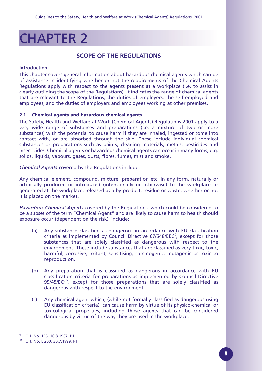## CHAPTER 2

### **SCOPE OF THE REGULATIONS**

#### **Introduction**

This chapter covers general information about hazardous chemical agents which can be of assistance in identifying whether or not the requirements of the Chemical Agents Regulations apply with respect to the agents present at a workplace (i.e. to assist in clearly outlining the scope of the Regulations). It indicates the range of chemical agents that are relevant to the Regulations; the duties of employers, the self-employed and employees; and the duties of employers and employees working at other premises.

#### **2.1 Chemical agents and hazardous chemical agents**

The Safety, Health and Welfare at Work (Chemical Agents) Regulations 2001 apply to a very wide range of substances and preparations (i.e. a mixture of two or more substances) with the potential to cause harm if they are inhaled, ingested or come into contact with, or are absorbed through the skin. These include individual chemical substances or preparations such as paints, cleaning materials, metals, pesticides and insecticides. Chemical agents or hazardous chemical agents can occur in many forms, e.g. solids, liquids, vapours, gases, dusts, fibres, fumes, mist and smoke.

*Chemical Agents* covered by the Regulations include:

Any chemical element, compound, mixture, preparation etc. in any form, naturally or artificially produced or introduced (intentionally or otherwise) to the workplace or generated at the workplace, released as a by-product, residue or waste, whether or not it is placed on the market.

*Hazardous Chemical Agents* covered by the Regulations, which could be considered to be a subset of the term "Chemical Agent" and are likely to cause harm to health should exposure occur (dependent on the risk), include:

- (a) Any substance classified as dangerous in accordance with EU classification criteria as implemented by Council Directive 67/548/EEC*9*, except for those substances that are solely classified as dangerous with respect to the environment. These include substances that are classified as very toxic, toxic, harmful, corrosive, irritant, sensitising, carcinogenic, mutagenic or toxic to reproduction.
- (b) Any preparation that is classified as dangerous in accordance with EU classification criteria for preparations as implemented by Council Directive 99/45/EC<sup>10</sup>, except for those preparations that are solely classified as dangerous with respect to the environment.
- (c) Any chemical agent which, (while not formally classified as dangerous using EU classification criteria), can cause harm by virtue of its physico-chemical or toxicological properties, including those agents that can be considered dangerous by virtue of the way they are used in the workplace.

<sup>9</sup> O.J. No. 196, 16.8.1967, P1

<sup>10</sup> O.J. No. L 200, 30.7.1999, P1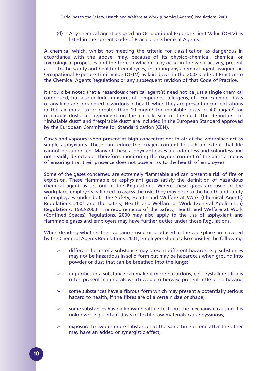(d) Any chemical agent assigned an Occupational Exposure Limit Value (OELV) as listed in the current Code of Practice on Chemical Agents.

A chemical which, whilst not meeting the criteria for classification as dangerous in accordance with the above, may, because of its physico-chemical, chemical or toxicological properties and the form in which it may occur in the work activity, present a risk to the safety and health of employees, including any chemical agent assigned an Occupational Exposure Limit Value (OELV) as laid down in the 2002 Code of Practice to the Chemical Agents Regulations or any subsequent revision of that Code of Practice.

It should be noted that a hazardous chemical agent(s) need not be just a single chemical compound, but also includes mixtures of compounds, allergens, etc. For example, dusts of any kind are considered hazardous to health when they are present in concentrations in the air equal to or greater than 10 mg/m<sup>3</sup> for inhalable dusts or 4.0 mg/m<sup>3</sup> for respirable dusts i.e. dependent on the particle size of the dust. The definitions of "inhalable dust" and "respirable dust" are included in the European Standard approved by the European Committee for Standardization (CEN).

Gases and vapours when present at high concentrations in air at the workplace act as simple asphyxiants. These can reduce the oxygen content to such an extent that life cannot be supported. Many of these asphyxiant gases are odourless and colourless and not readily detectable. Therefore, monitoring the oxygen content of the air is a means of ensuring that their presence does not pose a risk to the health of employees.

Some of the gases concerned are extremely flammable and can present a risk of fire or explosion. These flammable or asphyxiant gases satisfy the definition of hazardous chemical agent as set out in the Regulations. Where these gases are used in the workplace, employers will need to assess the risks they may pose to the health and safety of employees under both the Safety, Health and Welfare at Work (Chemical Agents) Regulations, 2001 and the Safety, Health and Welfare at Work (General Application) Regulations, 1993-2003. The requirements of the Safety, Health and Welfare at Work (Confined Spaces) Regulations, 2000 may also apply to the use of asphyxiant and flammable gases and employers may have further duties under those Regulations.

When deciding whether the substances used or produced in the workplace are covered by the Chemical Agents Regulations, 2001, employers should also consider the following:

- $\geq$  different forms of a substance may present different hazards, e.g. substances may not be hazardous in solid form but may be hazardous when ground into powder or dust that can be breathed into the lungs;
- $\geq$  impurities in a substance can make it more hazardous, e.g. crystalline silica is often present in minerals which would otherwise present little or no hazard;
- $\geq$  some substances have a fibrous form which may present a potentially serious hazard to health, if the fibres are of a certain size or shape;
- $\geq$  some substances have a known health effect, but the mechanism causing it is unknown, e.g. certain dusts of textile raw materials cause byssinosis;
- $\geq$  exposure to two or more substances at the same time or one after the other may have an added or synergistic effect;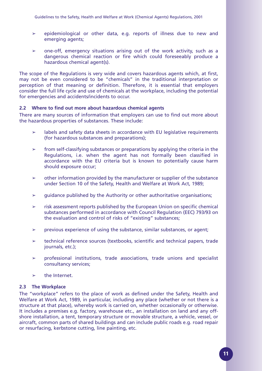- $\geq$  epidemiological or other data, e.g. reports of illness due to new and emerging agents;
- $\geq$  one-off, emergency situations arising out of the work activity, such as a dangerous chemical reaction or fire which could foreseeably produce a hazardous chemical agent(s).

The scope of the Regulations is very wide and covers hazardous agents which, at first, may not be even considered to be "chemicals" in the traditional interpretation or perception of that meaning or definition. Therefore, it is essential that employers consider the full life cycle and use of chemicals at the workplace, including the potential for emergencies and accidents/incidents to occur.

#### **2.2 Where to find out more about hazardous chemical agents**

There are many sources of information that employers can use to find out more about the hazardous properties of substances. These include:

- $\geq$  labels and safety data sheets in accordance with EU legislative requirements (for hazardous substances and preparations);
- $\geq$  from self-classifying substances or preparations by applying the criteria in the Regulations, i.e. when the agent has not formally been classified in accordance with the EU criteria but is known to potentially cause harm should exposure occur;
- $\geq$  other information provided by the manufacturer or supplier of the substance under Section 10 of the Safety, Health and Welfare at Work Act, 1989;
- $\geq$  quidance published by the Authority or other authoritative organisations;
- $\geq$  risk assessment reports published by the European Union on specific chemical substances performed in accordance with Council Regulation (EEC) 793/93 on the evaluation and control of risks of "existing" substances;
- $\geq$  previous experience of using the substance, similar substances, or agent;
- $\geq$  technical reference sources (textbooks, scientific and technical papers, trade journals, etc.);
- $\ge$  professional institutions, trade associations, trade unions and specialist consultancy services;
- $\geq$  the Internet.

#### **2.3 The Workplace**

The "workplace" refers to the place of work as defined under the Safety, Health and Welfare at Work Act, 1989, in particular, including any place (whether or not there is a structure at that place), whereby work is carried on, whether occasionally or otherwise. It includes a premises e.g. factory, warehouse etc., an installation on land and any offshore installation, a tent, temporary structure or movable structure, a vehicle, vessel, or aircraft, common parts of shared buildings and can include public roads e.g. road repair or resurfacing, kerbstone cutting, line painting, etc.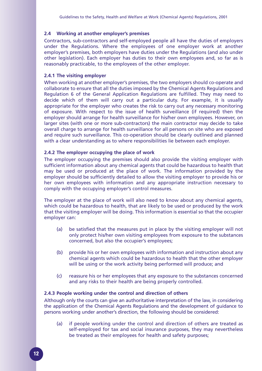#### **2.4 Working at another employer's premises**

Contractors, sub-contractors and self-employed people all have the duties of employers under the Regulations. Where the employees of one employer work at another employer's premises, both employers have duties under the Regulations (and also under other legislation). Each employer has duties to their own employees and, so far as is reasonably practicable, to the employees of the other employer.

#### **2.4.1 The visiting employer**

When working at another employer's premises, the two employers should co-operate and collaborate to ensure that all the duties imposed by the Chemical Agents Regulations and Regulation 6 of the General Application Regulations are fulfilled. They may need to decide which of them will carry out a particular duty. For example, it is usually appropriate for the employer who creates the risk to carry out any necessary monitoring of exposure. With respect to the issue of health surveillance (if required) then the employer should arrange for health surveillance for his/her own employees. However, on larger sites (with one or more sub-contractors) the main contractor may decide to take overall charge to arrange for health surveillance for all persons on site who are exposed and require such surveillance. This co-operation should be clearly outlined and planned with a clear understanding as to where responsibilities lie between each employer.

#### **2.4.2 The employer occupying the place of work**

The employer occupying the premises should also provide the visiting employer with sufficient information about any chemical agents that could be hazardous to health that may be used or produced at the place of work. The information provided by the employer should be sufficiently detailed to allow the visiting employer to provide his or her own employees with information and any appropriate instruction necessary to comply with the occupying employer's control measures.

The employer at the place of work will also need to know about any chemical agents, which could be hazardous to health, that are likely to be used or produced by the work that the visiting employer will be doing. This information is essential so that the occupier employer can:

- (a) be satisfied that the measures put in place by the visiting employer will not only protect his/her own visiting employees from exposure to the substances concerned, but also the occupier's employees;
- (b) provide his or her own employees with information and instruction about any chemical agents which could be hazardous to health that the other employer will be using or the work activity being performed will produce; and
- (c) reassure his or her employees that any exposure to the substances concerned and any risks to their health are being properly controlled.

#### **2.4.3 People working under the control and direction of others**

Although only the courts can give an authoritative interpretation of the law, in considering the application of the Chemical Agents Regulations and the development of guidance to persons working under another's direction, the following should be considered:

(a) if people working under the control and direction of others are treated as self-employed for tax and social insurance purposes, they may nevertheless be treated as their employees for health and safety purposes;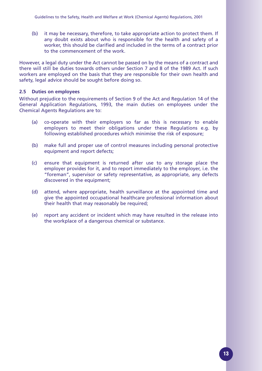(b) it may be necessary, therefore, to take appropriate action to protect them. If any doubt exists about who is responsible for the health and safety of a worker, this should be clarified and included in the terms of a contract prior to the commencement of the work.

However, a legal duty under the Act cannot be passed on by the means of a contract and there will still be duties towards others under Section 7 and 8 of the 1989 Act. If such workers are employed on the basis that they are responsible for their own health and safety, legal advice should be sought before doing so.

#### **2.5 Duties on employees**

Without prejudice to the requirements of Section 9 of the Act and Regulation 14 of the General Application Regulations, 1993, the main duties on employees under the Chemical Agents Regulations are to:

- (a) co-operate with their employers so far as this is necessary to enable employers to meet their obligations under these Regulations e.g. by following established procedures which minimise the risk of exposure;
- (b) make full and proper use of control measures including personal protective equipment and report defects;
- (c) ensure that equipment is returned after use to any storage place the employer provides for it, and to report immediately to the employer, i.e. the "foreman", supervisor or safety representative, as appropriate, any defects discovered in the equipment;
- (d) attend, where appropriate, health surveillance at the appointed time and give the appointed occupational healthcare professional information about their health that may reasonably be required;
- (e) report any accident or incident which may have resulted in the release into the workplace of a dangerous chemical or substance.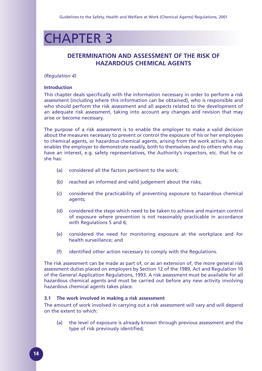## CHAPTER 3

### **DETERMINATION AND ASSESSMENT OF THE RISK OF HAZARDOUS CHEMICAL AGENTS**

#### *(Regulation 4)*

#### **Introduction**

This chapter deals specifically with the information necessary in order to perform a risk assessment (including where this information can be obtained), who is responsible and who should perform the risk assessment and all aspects related to the development of an adequate risk assessment, taking into account any changes and revision that may arise or become necessary.

The purpose of a risk assessment is to enable the employer to make a valid decision about the measures necessary to prevent or control the exposure of his or her employees to chemical agents, or hazardous chemical agents, arising from the work activity. It also enables the employer to demonstrate readily, both to themselves and to others who may have an interest, e.g. safety representatives, the Authority's inspectors, etc. that he or she has:

- (a) considered all the factors pertinent to the work;
- (b) reached an informed and valid judgement about the risks;
- (c) considered the practicability of preventing exposure to hazardous chemical agents;
- (d) considered the steps which need to be taken to achieve and maintain control of exposure where prevention is not reasonably practicable in accordance with Regulations 5 and 6;
- (e) considered the need for monitoring exposure at the workplace and for health surveillance; and
- (f) identified other action necessary to comply with the Regulations.

The risk assessment can be made as part of, or as an extension of, the more general risk assessment duties placed on employers by Section 12 of the 1989, Act and Regulation 10 of the General Application Regulations, 1993. A risk assessment must be available for all hazardous chemical agents and must be carried out before any new activity involving hazardous chemical agents takes place.

#### **3.1 The work involved in making a risk assessment**

The amount of work involved in carrying out a risk assessment will vary and will depend on the extent to which:

(a) the level of exposure is already known through previous assessment and the type of risk previously identified;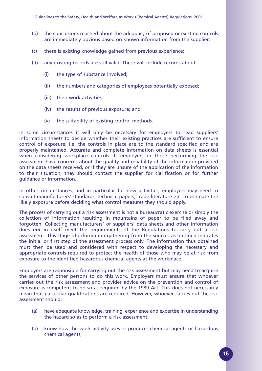- (b) the conclusions reached about the adequacy of proposed or existing controls are immediately obvious based on known information from the supplier;
- (c) there is existing knowledge gained from previous experience;
- (d) any existing records are still valid. These will include records about:
	- (i) the type of substance involved;
	- (ii) the numbers and categories of employees potentially exposed;
	- (iii) their work activities;
	- (iv) the results of previous exposure; and
	- (v) the suitability of existing control methods.

In some circumstances it will only be necessary for employers to read suppliers' information sheets to decide whether their existing practices are sufficient to ensure control of exposure, i.e. the controls in place are to the standard specified and are properly maintained. Accurate and complete information on data sheets is essential when considering workplace controls. If employers or those performing the risk assessment have concerns about the quality and reliability of the information provided on the data sheets received, or if they are unsure of the application of the information to their situation, they should contact the supplier for clarification or for further guidance or information.

In other circumstances, and in particular for new activities, employers may need to consult manufacturers' standards, technical papers, trade literature etc. to estimate the likely exposure before deciding what control measures they should apply.

The process of carrying out a risk assessment is not a bureaucratic exercise or simply the collection of information resulting in mountains of paper to be filed away and forgotten. Collecting manufacturers' or suppliers' data sheets and other information does *not* in itself meet the requirements of the Regulations to carry out a risk assessment. This stage of information gathering from the sources as outlined indicates the initial or first step of the assessment process only. The information thus obtained must then be used and considered with respect to developing the necessary and appropriate controls required to protect the health of those who may be at risk from exposure to the identified hazardous chemical agents at the workplace.

Employers are responsible for carrying out the risk assessment but may need to acquire the services of other persons to do this work. Employers must ensure that whoever carries out the risk assessment and provides advice on the prevention and control of exposure is competent to do so as required by the 1989 Act. This does not necessarily mean that particular qualifications are required. However, whoever carries out the risk assessment should:

- (a) have adequate knowledge, training, experience and expertise in understanding the hazard so as to perform a risk assessment;
- (b) know how the work activity uses or produces chemical agents or hazardous chemical agents;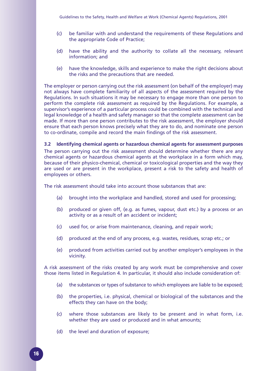- (c) be familiar with and understand the requirements of these Regulations and the appropriate Code of Practice;
- (d) have the ability and the authority to collate all the necessary, relevant information; and
- (e) have the knowledge, skills and experience to make the right decisions about the risks and the precautions that are needed.

The employer or person carrying out the risk assessment (on behalf of the employer) may not always have complete familiarity of all aspects of the assessment required by the Regulations. In such situations it may be necessary to engage more than one person to perform the complete risk assessment as required by the Regulations. For example, a supervisor's experience of a particular process could be combined with the technical and legal knowledge of a health and safety manager so that the complete assessment can be made. If more than one person contributes to the risk assessment, the employer should ensure that each person knows precisely what they are to do, and nominate one person to co-ordinate, compile and record the main findings of the risk assessment.

#### **3.2 Identifying chemical agents or hazardous chemical agents for assessment purposes**

The person carrying out the risk assessment should determine whether there are any chemical agents or hazardous chemical agents at the workplace in a form which may, because of their physico-chemical, chemical or toxicological properties and the way they are used or are present in the workplace, present a risk to the safety and health of employees or others.

The risk assessment should take into account those substances that are:

- (a) brought into the workplace and handled, stored and used for processing;
- (b) produced or given off, (e.g. as fumes, vapour, dust etc.) by a process or an activity or as a result of an accident or incident;
- (c) used for, or arise from maintenance, cleaning, and repair work;
- (d) produced at the end of any process, e.g. wastes, residues, scrap etc.; or
- (e) produced from activities carried out by another employer's employees in the vicinity.

A risk assessment of the risks created by any work must be comprehensive and cover those items listed in Regulation 4. In particular, it should also include consideration of:

- (a) the substances or types of substance to which employees are liable to be exposed;
- (b) the properties, i.e. physical, chemical or biological of the substances and the effects they can have on the body;
- (c) where those substances are likely to be present and in what form, i.e. whether they are used or produced and in what amounts;
- (d) the level and duration of exposure;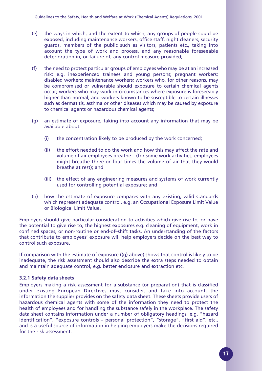- (e) the ways in which, and the extent to which, any groups of people could be exposed, including maintenance workers, office staff, night cleaners, security guards, members of the public such as visitors, patients etc., taking into account the type of work and process, and any reasonable foreseeable deterioration in, or failure of, any control measure provided;
- (f) the need to protect particular groups of employees who may be at an increased risk: e.g. inexperienced trainees and young persons; pregnant workers; disabled workers; maintenance workers; workers who, for other reasons, may be compromised or vulnerable should exposure to certain chemical agents occur; workers who may work in circumstances where exposure is foreseeably higher than normal; and workers known to be susceptible to certain illnesses such as dermatitis, asthma or other diseases which may be caused by exposure to chemical agents or hazardous chemical agents;
- (g) an estimate of exposure, taking into account any information that may be available about:
	- (i) the concentration likely to be produced by the work concerned;
	- (ii) the effort needed to do the work and how this may affect the rate and volume of air employees breathe – (for some work activities, employees might breathe three or four times the volume of air that they would breathe at rest); and
	- (iii) the effect of any engineering measures and systems of work currently used for controlling potential exposure; and
- (h) how the estimate of exposure compares with any existing, valid standards which represent adequate control, e.g. an Occupational Exposure Limit Value or Biological Limit Value.

Employers should give particular consideration to activities which give rise to, or have the potential to give rise to, the highest exposures e.g. cleaning of equipment, work in confined spaces, or non-routine or end-of–shift tasks. An understanding of the factors that contribute to employees' exposure will help employers decide on the best way to control such exposure.

If comparison with the estimate of exposure ((g) above) shows that control is likely to be inadequate, the risk assessment should also describe the extra steps needed to obtain and maintain adequate control, e.g. better enclosure and extraction etc.

#### **3.2.1 Safety data sheets**

Employers making a risk assessment for a substance (or preparation) that is classified under existing European Directives must consider, and take into account, the information the supplier provides on the safety data sheet. These sheets provide users of hazardous chemical agents with some of the information they need to protect the health of employees and for handling the substance safely in the workplace. The safety data sheet contains information under a number of obligatory headings, e.g. "hazard identification", "exposure controls – personal protection", "storage", "first aid", etc., and is a useful source of information in helping employers make the decisions required for the risk assessment.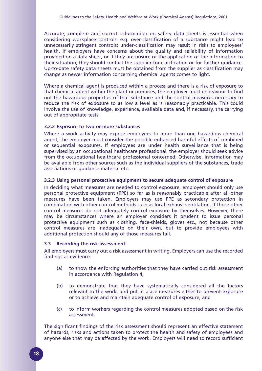Accurate, complete and correct information on safety data sheets is essential when considering workplace controls: e.g. over-classification of a substance might lead to unnecessarily stringent controls; under-classification may result in risks to employees' health. If employers have concerns about the quality and reliability of information provided on a data sheet, or if they are unsure of the application of the information to their situation, they should contact the supplier for clarification or for further guidance. Up-to-date safety data sheets must be obtained from the supplier as classification may change as newer information concerning chemical agents comes to light.

Where a chemical agent is produced within a process and there is a risk of exposure to that chemical agent within the plant or premises, the employer must endeavour to find out the hazardous properties of that substance and the control measures necessary to reduce the risk of exposure to as low a level as is reasonably practicable. This could involve the use of knowledge, experience, available data and, if necessary, the carrying out of appropriate tests.

#### **3.2.2 Exposure to two or more substances**

Where a work activity may expose employees to more than one hazardous chemical agent, the employer must consider the possible enhanced harmful effects of combined or sequential exposures. If employees are under health surveillance that is being supervised by an occupational healthcare professional, the employer should seek advice from the occupational healthcare professional concerned. Otherwise, information may be available from other sources such as the individual suppliers of the substances, trade associations or guidance material etc.

#### **3.2.3 Using personal protective equipment to secure adequate control of exposure**

In deciding what measures are needed to control exposure, employers should only use personal protective equipment (PPE) so far as is reasonably practicable after all other measures have been taken. Employers may use PPE as secondary protection in combination with other control methods such as local exhaust ventilation, if those other control measures do not adequately control exposure by themselves. However, there may be circumstances where an employer considers it prudent to issue personal protective equipment such as clothing, face-shields, gloves etc., not because other control measures are inadequate on their own, but to provide employees with additional protection should any of those measures fail.

#### **3.3 Recording the risk assessment:**

All employers must carry out a risk assessment in writing. Employers can use the recorded findings as evidence:

- (a) to show the enforcing authorities that they have carried out risk assessment in accordance with Regulation 4;
- (b) to demonstrate that they have systematically considered all the factors relevant to the work, and put in place measures either to prevent exposure or to achieve and maintain adequate control of exposure; and
- (c) to inform workers regarding the control measures adopted based on the risk assessment.

The significant findings of the risk assessment should represent an effective statement of hazards, risks and actions taken to protect the health and safety of employees and anyone else that may be affected by the work. Employers will need to record sufficient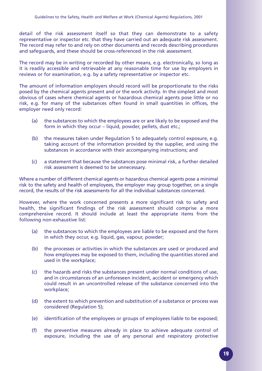detail of the risk assessment itself so that they can demonstrate to a safety representative or inspector etc. that they have carried out an adequate risk assessment. The record may refer to and rely on other documents and records describing procedures and safeguards, and these should be cross-referenced in the risk assessment.

The record may be in writing or recorded by other means, e.g. electronically, so long as it is readily accessible and retrievable at any reasonable time for use by employers in reviews or for examination, e.g. by a safety representative or inspector etc.

The amount of information employers should record will be proportionate to the risks posed by the chemical agents present and or the work activity. In the simplest and most obvious of cases where chemical agents or hazardous chemical agents pose little or no risk, e.g. for many of the substances often found in small quantities in offices, the employer need only record:

- (a) the substances to which the employees are or are likely to be exposed and the form in which they occur – liquid, powder, pellets, dust etc.;
- (b) the measures taken under Regulation 5 to adequately control exposure, e.g. taking account of the information provided by the supplier, and using the substances in accordance with their accompanying instructions; and
- (c) a statement that because the substances pose minimal risk, a further detailed risk assessment is deemed to be unnecessary.

Where a number of different chemical agents or hazardous chemical agents pose a minimal risk to the safety and health of employees, the employer may group together, on a single record, the results of the risk assessments for all the individual substances concerned.

However, where the work concerned presents a more significant risk to safety and health, the significant findings of the risk assessment should comprise a more comprehensive record. It should include at least the appropriate items from the following non-exhaustive list:

- (a) the substances to which the employees are liable to be exposed and the form in which they occur, e.g. liquid, gas, vapour, powder;
- (b) the processes or activities in which the substances are used or produced and how employees may be exposed to them, including the quantities stored and used in the workplace;
- (c) the hazards and risks the substances present under normal conditions of use, and in circumstances of an unforeseen incident, accident or emergency which could result in an uncontrolled release of the substance concerned into the workplace;
- (d) the extent to which prevention and substitution of a substance or process was considered (Regulation 5);
- (e) identification of the employees or groups of employees liable to be exposed;
- (f) the preventive measures already in place to achieve adequate control of exposure, including the use of any personal and respiratory protective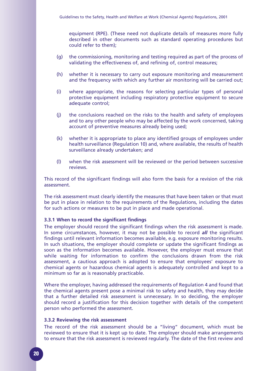equipment (RPE). (These need not duplicate details of measures more fully described in other documents such as standard operating procedures but could refer to them);

- (g) the commissioning, monitoring and testing required as part of the process of validating the effectiveness of, and refining of, control measures;
- (h) whether it is necessary to carry out exposure monitoring and measurement and the frequency with which any further air monitoring will be carried out;
- (i) where appropriate, the reasons for selecting particular types of personal protective equipment including respiratory protective equipment to secure adequate control;
- (j) the conclusions reached on the risks to the health and safety of employees and to any other people who may be affected by the work concerned, taking account of preventive measures already being used;
- (k) whether it is appropriate to place any identified groups of employees under health surveillance (Regulation 10) and, where available, the results of health surveillance already undertaken; and
- (l) when the risk assessment will be reviewed or the period between successive reviews

This record of the significant findings will also form the basis for a revision of the risk assessment.

The risk assessment must clearly identify the measures that have been taken or that must be put in place in relation to the requirements of the Regulations, including the dates for such actions or measures to be put in place and made operational.

#### **3.3.1 When to record the significant findings**

The employer should record the significant findings when the risk assessment is made. In some circumstances, however, it may not be possible to record *all* the significant findings until relevant information becomes available, e.g. exposure monitoring results. In such situations, the employer should complete or update the significant findings as soon as the information becomes available. However, the employer must ensure that while waiting for information to confirm the conclusions drawn from the risk assessment, a cautious approach is adopted to ensure that employees' exposure to chemical agents or hazardous chemical agents is adequately controlled and kept to a minimum so far as is reasonably practicable.

Where the employer, having addressed the requirements of Regulation 4 and found that the chemical agents present pose a minimal risk to safety and health, they may decide that a further detailed risk assessment is unnecessary. In so deciding, the employer should record a justification for this decision together with details of the competent person who performed the assessment.

#### **3.3.2 Reviewing the risk assessment**

The record of the risk assessment should be a "living" document, which must be reviewed to ensure that it is kept up to date. The employer should make arrangements to ensure that the risk assessment is reviewed regularly. The date of the first review and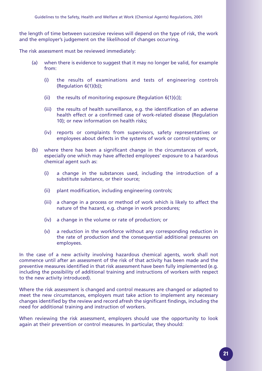the length of time between successive reviews will depend on the type of risk, the work and the employer's judgement on the likelihood of changes occurring.

The risk assessment must be reviewed immediately:

- (a) when there is evidence to suggest that it may no longer be valid, for example from:
	- (i) the results of examinations and tests of engineering controls (Regulation 6(1)(b));
	- (ii) the results of monitoring exposure (Regulation 6(1)(c));
	- (iii) the results of health surveillance, e.g. the identification of an adverse health effect or a confirmed case of work-related disease (Regulation 10); or new information on health risks;
	- (iv) reports or complaints from supervisors, safety representatives or employees about defects in the systems of work or control systems; or
- (b) where there has been a significant change in the circumstances of work, especially one which may have affected employees' exposure to a hazardous chemical agent such as:
	- (i) a change in the substances used, including the introduction of a substitute substance, or their source;
	- (ii) plant modification, including engineering controls;
	- (iii) a change in a process or method of work which is likely to affect the nature of the hazard, e.g. change in work procedures;
	- (iv) a change in the volume or rate of production; or
	- (v) a reduction in the workforce without any corresponding reduction in the rate of production and the consequential additional pressures on employees.

In the case of a new activity involving hazardous chemical agents, work shall not commence until after an assessment of the risk of that activity has been made and the preventive measures identified in that risk assessment have been fully implemented (e.g. including the possibility of additional training and instructions of workers with respect to the new activity introduced).

Where the risk assessment is changed and control measures are changed or adapted to meet the new circumstances, employers must take action to implement any necessary changes identified by the review and record afresh the significant findings, including the need for additional training and instruction of workers.

When reviewing the risk assessment, employers should use the opportunity to look again at their prevention or control measures. In particular, they should: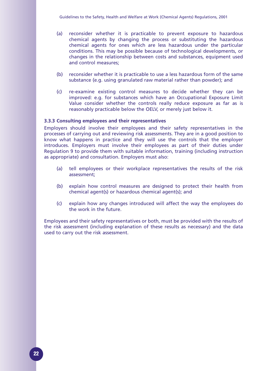- (a) reconsider whether it is practicable to prevent exposure to hazardous chemical agents by changing the process or substituting the hazardous chemical agents for ones which are less hazardous under the particular conditions. This may be possible because of technological developments, or changes in the relationship between costs and substances, equipment used and control measures;
- (b) reconsider whether it is practicable to use a less hazardous form of the same substance (e.g. using granulated raw material rather than powder); and
- (c) re-examine existing control measures to decide whether they can be improved: e.g. for substances which have an Occupational Exposure Limit Value consider whether the controls really reduce exposure as far as is reasonably practicable below the OELV, or merely just below it.

#### **3.3.3 Consulting employees and their representatives**

Employers should involve their employees and their safety representatives in the processes of carrying out and reviewing risk assessments. They are in a good position to know what happens in practice and they will use the controls that the employer introduces. Employers must involve their employees as part of their duties under Regulation 9 to provide them with suitable information, training (including instruction as appropriate) and consultation. Employers must also:

- (a) tell employees or their workplace representatives the results of the risk assessment;
- (b) explain how control measures are designed to protect their health from chemical agent(s) or hazardous chemical agent(s); and
- (c) explain how any changes introduced will affect the way the employees do the work in the future.

Employees and their safety representatives or both, must be provided with the results of the risk assessment (including explanation of these results as necessary) and the data used to carry out the risk assessment.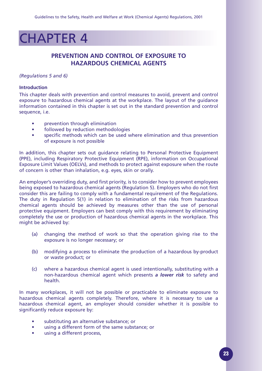## CHAPTER 4

### **PREVENTION AND CONTROL OF EXPOSURE TO HAZARDOUS CHEMICAL AGENTS**

#### *(Regulations 5 and 6)*

#### **Introduction**

This chapter deals with prevention and control measures to avoid, prevent and control exposure to hazardous chemical agents at the workplace. The layout of the guidance information contained in this chapter is set out in the standard prevention and control sequence, i.e.

- prevention through elimination
- followed by reduction methodologies
- specific methods which can be used where elimination and thus prevention of exposure is not possible

In addition, this chapter sets out guidance relating to Personal Protective Equipment (PPE), including Respiratory Protective Equipment (RPE), information on Occupational Exposure Limit Values (OELVs), and methods to protect against exposure when the route of concern is other than inhalation, e.g. eyes, skin or orally.

An employer's overriding duty, and first priority, is to consider how to prevent employees being exposed to hazardous chemical agents (Regulation 5). Employers who do not first consider this are failing to comply with a fundamental requirement of the Regulations. The duty in Regulation 5(1) in relation to elimination of the risks from hazardous chemical agents should be achieved by measures other than the use of personal protective equipment. Employers can best comply with this requirement by eliminating completely the use or production of hazardous chemical agents in the workplace. This might be achieved by:

- (a) changing the method of work so that the operation giving rise to the exposure is no longer necessary; or
- (b) modifying a process to eliminate the production of a hazardous by-product or waste product; or
- (c) where a hazardous chemical agent is used intentionally, substituting with a non-hazardous chemical agent which presents *a lower risk* to safety and health.

In many workplaces, it will not be possible or practicable to eliminate exposure to hazardous chemical agents completely. Therefore, where it is necessary to use a hazardous chemical agent, an employer should consider whether it is possible to significantly reduce exposure by:

- substituting an alternative substance; or
- using a different form of the same substance; or
- using a different process,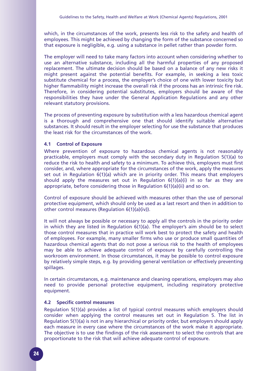which, in the circumstances of the work, presents less risk to the safety and health of employees. This might be achieved by changing the form of the substance concerned so that exposure is negligible, e.g. using a substance in pellet rather than powder form.

The employer will need to take many factors into account when considering whether to use an alternative substance, including all the harmful properties of any proposed replacement. The ultimate decision should be based on a balance of any new risks it might present against the potential benefits. For example, in seeking a less toxic substitute chemical for a process, the employer's choice of one with lower toxicity but higher flammability might increase the overall risk if the process has an intrinsic fire risk. Therefore, in considering potential substitutes, employers should be aware of the responsibilities they have under the General Application Regulations and any other relevant statutory provisions.

The process of preventing exposure by substitution with a less hazardous chemical agent is a thorough and comprehensive one that should identify suitable alternative substances. It should result in the employer selecting for use the substance that produces the least risk for the circumstances of the work.

#### **4.1 Control of Exposure**

Where prevention of exposure to hazardous chemical agents is not reasonably practicable, employers must comply with the secondary duty in Regulation 5(1)(a) to reduce the risk to health and safety to a minimum. To achieve this, employers must first consider, and, where appropriate for the circumstances of the work, apply the measures set out in Regulation 6(1)(a) which are in priority order. This means that employers should apply the measures set out in Regulation  $6(1)(a)(i)$  in so far as they are appropriate, before considering those in Regulation 6(1)(a)(ii) and so on.

Control of exposure should be achieved with measures other than the use of personal protective equipment, which should only be used as a last resort and then in addition to other control measures (Regulation 6(1)(a)(iv)).

It will not always be possible or necessary to apply all the controls in the priority order in which they are listed in Regulation 6(1)(a). The employer's aim should be to select those control measures that in practice will work best to protect the safety and health of employees. For example, many smaller firms who use or produce small quantities of hazardous chemical agents that do not pose a serious risk to the health of employees may be able to achieve adequate control of exposure by carefully controlling the workroom environment. In those circumstances, it may be possible to control exposure by relatively simple steps, e.g. by providing general ventilation or effectively preventing spillages.

In certain circumstances, e.g. maintenance and cleaning operations, employers may also need to provide personal protective equipment, including respiratory protective equipment.

#### **4.2 Specific control measures**

Regulation 5(1)(a) provides a list of typical control measures which employers should consider when applying the control measures set out in Regulation 5. The list in Regulation 5(1)(a) is not in any hierarchical or priority order, but employers should apply each measure in every case where the circumstances of the work make it appropriate. The objective is to use the findings of the risk assessment to select the controls that are proportionate to the risk that will achieve adequate control of exposure.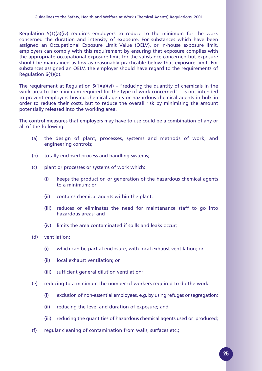Regulation 5(1)(a)(iv) requires employers to reduce to the minimum for the work concerned the duration and intensity of exposure. For substances which have been assigned an Occupational Exposure Limit Value (OELV), or in-house exposure limit, employers can comply with this requirement by ensuring that exposure complies with the appropriate occupational exposure limit for the substance concerned but exposure should be maintained as low as reasonably practicable below that exposure limit. For substances assigned an OELV, the employer should have regard to the requirements of Regulation 6(1)(d).

The requirement at Regulation  $5(1)(a)(vi) - "reducing the quantity of chemicals in the$ work area to the minimum required for the type of work concerned" – is not intended to prevent employers buying chemical agents or hazardous chemical agents in bulk in order to reduce their costs, but to reduce the overall risk by minimising the amount potentially released into the working area.

The control measures that employers may have to use could be a combination of any or all of the following:

- (a) the design of plant, processes, systems and methods of work, and engineering controls;
- (b) totally enclosed process and handling systems;
- (c) plant or processes or systems of work which:
	- (i) keeps the production or generation of the hazardous chemical agents to a minimum; or
	- (ii) contains chemical agents within the plant;
	- (iii) reduces or eliminates the need for maintenance staff to go into hazardous areas; and
	- (iv) limits the area contaminated if spills and leaks occur;
- (d) ventilation:
	- (i) which can be partial enclosure, with local exhaust ventilation; or
	- (ii) local exhaust ventilation; or
	- (iii) sufficient general dilution ventilation;
- (e) reducing to a minimum the number of workers required to do the work:
	- (i) exclusion of non-essential employees, e.g. by using refuges or segregation;
	- (ii) reducing the level and duration of exposure; and
	- (iii) reducing the quantities of hazardous chemical agents used or produced;
- (f) regular cleaning of contamination from walls, surfaces etc.;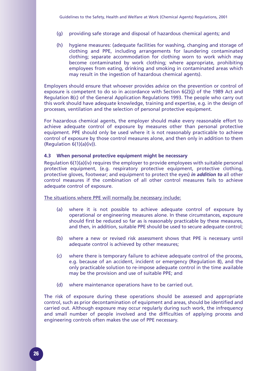- (g) providing safe storage and disposal of hazardous chemical agents; and
- (h) hygiene measures: (adequate facilities for washing, changing and storage of clothing and PPE, including arrangements for laundering contaminated clothing; separate accommodation for clothing worn to work which may become contaminated by work clothing; where appropriate, prohibiting employees from eating, drinking and smoking in contaminated areas which may result in the ingestion of hazardous chemical agents).

Employers should ensure that whoever provides advice on the prevention or control of exposure is competent to do so in accordance with Section 6(2)(j) of the 1989 Act and Regulation 8(c) of the General Application Regulations 1993. The people who carry out this work should have adequate knowledge, training and expertise, e.g. in the design of processes, ventilation and the selection of personal protective equipment.

For hazardous chemical agents, the employer should make every reasonable effort to achieve adequate control of exposure by measures other than personal protective equipment. PPE should only be used where it is not reasonably practicable to achieve control of exposure by those control measures alone, and then only in addition to them (Regulation 6(1)(a)(iv)).

#### **4.3 When personal protective equipment might be necessary**

Regulation 6(1)(a)(iv) requires the employer to provide employees with suitable personal protective equipment, (e.g. respiratory protective equipment, protective clothing, protective gloves, footwear; and equipment to protect the eyes) *in addition to* all other control measures if the combination of all other control measures fails to achieve adequate control of exposure.

The situations where PPE will normally be necessary include:

- (a) where it is not possible to achieve adequate control of exposure by operational or engineering measures alone. In these circumstances, exposure should first be reduced so far as is reasonably practicable by these measures, and then, in addition, suitable PPE should be used to secure adequate control;
- (b) where a new or revised risk assessment shows that PPE is necessary until adequate control is achieved by other measures;
- (c) where there is temporary failure to achieve adequate control of the process, e.g. because of an accident, incident or emergency (Regulation 8), and the only practicable solution to re-impose adequate control in the time available may be the provision and use of suitable PPE; and
- (d) where maintenance operations have to be carried out.

The risk of exposure during these operations should be assessed and appropriate control, such as prior decontamination of equipment and areas, should be identified and carried out. Although exposure may occur regularly during such work, the infrequency and small number of people involved and the difficulties of applying process and engineering controls often makes the use of PPE necessary.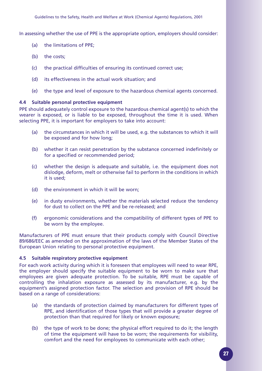In assessing whether the use of PPE is the appropriate option, employers should consider:

- (a) the limitations of PPE;
- (b) the costs:
- (c) the practical difficulties of ensuring its continued correct use;
- (d) its effectiveness in the actual work situation; and
- (e) the type and level of exposure to the hazardous chemical agents concerned.

#### **4.4 Suitable personal protective equipment**

PPE should adequately control exposure to the hazardous chemical agent(s) to which the wearer is exposed, or is liable to be exposed, throughout the time it is used. When selecting PPE, it is important for employers to take into account:

- (a) the circumstances in which it will be used, e.g. the substances to which it will be exposed and for how long;
- (b) whether it can resist penetration by the substance concerned indefinitely or for a specified or recommended period;
- (c) whether the design is adequate and suitable, i.e. the equipment does not dislodge, deform, melt or otherwise fail to perform in the conditions in which it is used;
- (d) the environment in which it will be worn;
- (e) in dusty environments, whether the materials selected reduce the tendency for dust to collect on the PPE and be re-released; and
- (f) ergonomic considerations and the compatibility of different types of PPE to be worn by the employee.

Manufacturers of PPE must ensure that their products comply with Council Directive 89/686/EEC as amended on the approximation of the laws of the Member States of the European Union relating to personal protective equipment.

#### **4.5 Suitable respiratory protective equipment**

For each work activity during which it is foreseen that employees will need to wear RPE, the employer should specify the suitable equipment to be worn to make sure that employees are given adequate protection. To be suitable, RPE must be capable of controlling the inhalation exposure as assessed by its manufacturer, e.g. by the equipment's assigned protection factor. The selection and provision of RPE should be based on a range of considerations:

- (a) the standards of protection claimed by manufacturers for different types of RPE, and identification of those types that will provide a greater degree of protection than that required for likely or known exposure;
- (b) the type of work to be done; the physical effort required to do it; the length of time the equipment will have to be worn; the requirements for visibility, comfort and the need for employees to communicate with each other;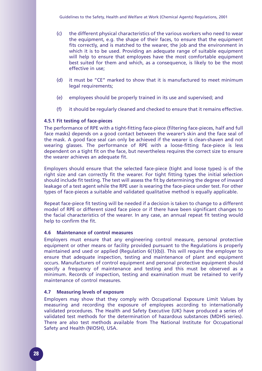- (c) the different physical characteristics of the various workers who need to wear the equipment, e.g. the shape of their faces, to ensure that the equipment fits correctly, and is matched to the wearer, the job and the environment in which it is to be used. Providing an adequate range of suitable equipment will help to ensure that employees have the most comfortable equipment best suited for them and which, as a consequence, is likely to be the most effective in use;
- (d) it must be "CE" marked to show that it is manufactured to meet minimum legal requirements;
- (e) employees should be properly trained in its use and supervised; and
- (f) it should be regularly cleaned and checked to ensure that it remains effective.

#### **4.5.1 Fit testing of face-pieces**

The performance of RPE with a tight-fitting face-piece (filtering face-pieces, half and full face masks) depends on a good contact between the wearer's skin and the face seal of the mask. A good face seal can only be achieved if the wearer is clean-shaven and not wearing glasses. The performance of RPE with a loose-fitting face-piece is less dependent on a tight fit on the face, but nevertheless requires the correct size to ensure the wearer achieves an adequate fit.

Employers should ensure that the selected face-piece (tight and loose types) is of the right size and can correctly fit the wearer. For tight fitting types the initial selection should include fit testing. The test will assess the fit by determining the degree of inward leakage of a test agent while the RPE user is wearing the face-piece under test. For other types of face-pieces a suitable and validated qualitative method is equally applicable.

Repeat face-piece fit testing will be needed if a decision is taken to change to a different model of RPE or different sized face piece or if there have been significant changes to the facial characteristics of the wearer. In any case, an annual repeat fit testing would help to confirm the fit.

#### **4.6 Maintenance of control measures**

Employers must ensure that any engineering control measure, personal protective equipment or other means or facility provided pursuant to the Regulations is properly maintained and used or applied (Regulation 6(1)(b)). This will require the employer to ensure that adequate inspection, testing and maintenance of plant and equipment occurs. Manufacturers of control equipment and personal protective equipment should specify a frequency of maintenance and testing and this must be observed as a minimum. Records of inspection, testing and examination must be retained to verify maintenance of control measures.

#### **4.7 Measuring levels of exposure**

Employers may show that they comply with Occupational Exposure Limit Values by measuring and recording the exposure of employees according to internationally validated procedures*.* The Health and Safety Executive (UK) have produced a series of validated test methods for the determination of hazardous substances (MDHS series). There are also test methods available from The National Institute for Occupational Safety and Health (NIOSH), USA.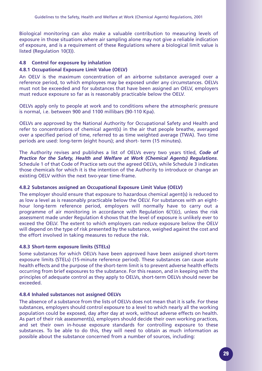Biological monitoring can also make a valuable contribution to measuring levels of exposure in those situations where air sampling alone may not give a reliable indication of exposure, and is a requirement of these Regulations where a biological limit value is listed (Regulation 10(3)).

#### **4.8 Control for exposure by inhalation**

#### **4.8.1 Occupational Exposure Limit Value (OELV)**

An OELV is the maximum concentration of an airborne substance averaged over a reference period, to which employees may be exposed under any circumstances. OELVs must not be exceeded and for substances that have been assigned an OELV, employers must reduce exposure so far as is reasonably practicable below the OELV.

OELVs apply only to people at work and to conditions where the atmospheric pressure is normal, i.e. between 900 and 1100 millibars (90-110 Kpa).

OELVs are approved by the National Authority for Occupational Safety and Health and refer to concentrations of chemical agent(s) in the air that people breathe, averaged over a specified period of time, referred to as time weighted average (TWA). Two time periods are used: long-term (eight hours); and short- term (15 minutes).

The Authority revises and publishes a list of OELVs every two years titled, *Code of Practice for the Safety, Health and Welfare at Work (Chemical Agents) Regulations*. Schedule 1 of that Code of Practice sets out the agreed OELVs, while Schedule 3 indicates those chemicals for which it is the intention of the Authority to introduce or change an existing OELV within the next two-year time-frame.

#### **4.8.2 Substances assigned an Occupational Exposure Limit Value (OELV)**

The employer should ensure that exposure to hazardous chemical agent(s) is reduced to as low a level as is reasonably practicable below the OELV. For substances with an eighthour long-term reference period, employers will normally have to carry out a programme of air monitoring in accordance with Regulation  $6(1)(c)$ , unless the risk assessment made under Regulation 4 shows that the level of exposure is unlikely ever to exceed the OELV. The extent to which employers can reduce exposure below the OELV will depend on the type of risk presented by the substance, weighed against the cost and the effort involved in taking measures to reduce the risk.

#### **4.8.3 Short-term exposure limits (STELs)**

Some substances for which OELVs have been approved have been assigned short-term exposure limits (STELs) (15-minute reference period). These substances can cause acute health effects and the purpose of the short-term limit is to prevent adverse health effects occurring from brief exposures to the substance. For this reason, and in keeping with the principles of adequate control as they apply to OELVs, short-term OELVs should never be exceeded.

#### **4.8.4 Inhaled substances not assigned OELVs**

The absence of a substance from the lists of OELVs does not mean that it is safe. For these substances, employers should control exposure to a level to which nearly all the working population could be exposed, day after day at work, without adverse effects on health. As part of their risk assessment(s), employers should decide their own working practices, and set their own in-house exposure standards for controlling exposure to these substances. To be able to do this, they will need to obtain as much information as possible about the substance concerned from a number of sources, including: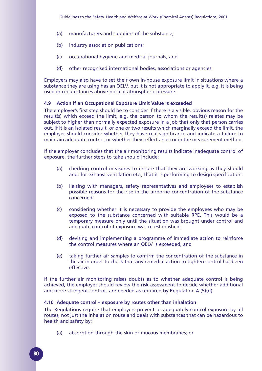- (a) manufacturers and suppliers of the substance;
- (b) industry association publications;
- (c) occupational hygiene and medical journals, and
- (d) other recognised international bodies, associations or agencies.

Employers may also have to set their own in-house exposure limit in situations where a substance they are using has an OELV, but it is not appropriate to apply it, e.g. it is being used in circumstances above normal atmospheric pressure.

#### **4.9 Action if an Occupational Exposure Limit Value is exceeded**

The employer's first step should be to consider if there is a visible, obvious reason for the result(s) which exceed the limit, e.g. the person to whom the result(s) relates may be subject to higher than normally expected exposure in a job that only that person carries out. If it is an isolated result, or one or two results which marginally exceed the limit, the employer should consider whether they have real significance and indicate a failure to maintain adequate control, or whether they reflect an error in the measurement method.

If the employer concludes that the air monitoring results indicate inadequate control of exposure, the further steps to take should include:

- (a) checking control measures to ensure that they are working as they should and, for exhaust ventilation etc., that it is performing to design specification;
- (b) liaising with managers, safety representatives and employees to establish possible reasons for the rise in the airborne concentration of the substance concerned;
- (c) considering whether it is necessary to provide the employees who may be exposed to the substance concerned with suitable RPE. This would be a temporary measure only until the situation was brought under control and adequate control of exposure was re-established;
- (d) devising and implementing a programme of immediate action to reinforce the control measures where an OELV is exceeded; and
- (e) taking further air samples to confirm the concentration of the substance in the air in order to check that any remedial action to tighten control has been effective.

If the further air monitoring raises doubts as to whether adequate control is being achieved, the employer should review the risk assessment to decide whether additional and more stringent controls are needed as required by Regulation 4 (5)(d).

#### **4.10 Adequate control – exposure by routes other than inhalation**

The Regulations require that employers prevent or adequately control exposure by all routes, not just the inhalation route and deals with substances that can be hazardous to health and safety by:

(a) absorption through the skin or mucous membranes; or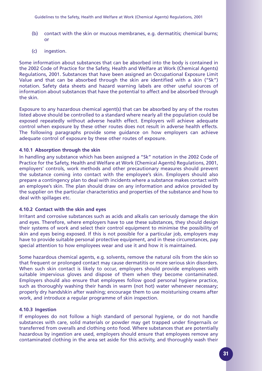- (b) contact with the skin or mucous membranes, e.g. dermatitis; chemical burns; or
- (c) ingestion.

Some information about substances that can be absorbed into the body is contained in the 2002 Code of Practice for the Safety, Health and Welfare at Work (Chemical Agents) Regulations, 2001. Substances that have been assigned an Occupational Exposure Limit Value and that can be absorbed through the skin are identified with a skin ("Sk") notation. Safety data sheets and hazard warning labels are other useful sources of information about substances that have the potential to affect and be absorbed through the skin.

Exposure to any hazardous chemical agent(s) that can be absorbed by any of the routes listed above should be controlled to a standard where nearly all the population could be exposed repeatedly without adverse health effect. Employers will achieve adequate control when exposure by these other routes does not result in adverse health effects. The following paragraphs provide some guidance on how employers can achieve adequate control of exposure by these other routes of exposure.

#### **4.10.1 Absorption through the skin**

In handling any substance which has been assigned a "Sk" notation in the 2002 Code of Practice for the Safety, Health and Welfare at Work (Chemical Agents) Regulations, 2001, employers' controls, work methods and other precautionary measures should prevent the substance coming into contact with the employee's skin. Employers should also prepare a contingency plan to deal with incidents where a substance makes contact with an employee's skin. The plan should draw on any information and advice provided by the supplier on the particular characteristics and properties of the substance and how to deal with spillages etc.

#### **4.10.2 Contact with the skin and eyes**

Irritant and corrosive substances such as acids and alkalis can seriously damage the skin and eyes. Therefore, where employers have to use these substances, they should design their systems of work and select their control equipment to minimise the possibility of skin and eyes being exposed. If this is not possible for a particular job, employers may have to provide suitable personal protective equipment, and in these circumstances, pay special attention to how employees wear and use it and how it is maintained.

Some hazardous chemical agents, e.g. solvents, remove the natural oils from the skin so that frequent or prolonged contact may cause dermatitis or more serious skin disorders. When such skin contact is likely to occur, employers should provide employees with suitable impervious gloves and dispose of them when they become contaminated. Employers should also ensure that employees follow good personal hygiene practice, such as thoroughly washing their hands in warm (not hot) water whenever necessary; properly dry hands/skin after washing; encourage them to use moisturising creams after work, and introduce a regular programme of skin inspection.

#### **4.10.3 Ingestion**

If employees do not follow a high standard of personal hygiene, or do not handle substances with care, solid materials or powder may get trapped under fingernails or transferred from overalls and clothing onto food. Where substances that are potentially hazardous by ingestion are used, employers should ensure that employees remove any contaminated clothing in the area set aside for this activity, and thoroughly wash their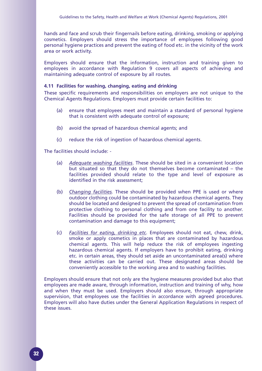hands and face and scrub their fingernails before eating, drinking, smoking or applying cosmetics. Employers should stress the importance of employees following good personal hygiene practices and prevent the eating of food etc. in the vicinity of the work area or work activity.

Employers should ensure that the information, instruction and training given to employees in accordance with Regulation 9 covers all aspects of achieving and maintaining adequate control of exposure by all routes.

#### **4.11 Facilities for washing, changing, eating and drinking**

These specific requirements and responsibilities on employers are not unique to the Chemical Agents Regulations. Employers must provide certain facilities to:

- (a) ensure that employees meet and maintain a standard of personal hygiene that is consistent with adequate control of exposure;
- (b) avoid the spread of hazardous chemical agents; and
- (c) reduce the risk of ingestion of hazardous chemical agents.

The facilities should include: -

- (a) *Adequate washing facilities*. These should be sited in a convenient location but situated so that they do not themselves become contaminated – the facilities provided should relate to the type and level of exposure as identified in the risk assessment;
- (b) *Changing facilities.* These should be provided when PPE is used or where outdoor clothing could be contaminated by hazardous chemical agents. They should be located and designed to prevent the spread of contamination from protective clothing to personal clothing and from one facility to another. Facilities should be provided for the safe storage of all PPE to prevent contamination and damage to this equipment;
- (c) *Facilities for eating, drinking etc*. Employees should not eat, chew, drink, smoke or apply cosmetics in places that are contaminated by hazardous chemical agents. This will help reduce the risk of employees ingesting hazardous chemical agents. If employers have to prohibit eating, drinking etc. in certain areas, they should set aside an uncontaminated area(s) where these activities can be carried out. These designated areas should be conveniently accessible to the working area and to washing facilities.

Employers should ensure that not only are the hygiene measures provided but also that employees are made aware, through information, instruction and training of why, how and when they must be used. Employers should also ensure, through appropriate supervision, that employees use the facilities in accordance with agreed procedures. Employers will also have duties under the General Application Regulations in respect of these issues.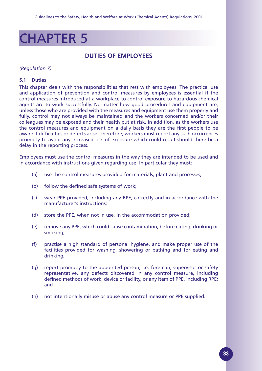## CHAPTER 5

### **DUTIES OF EMPLOYEES**

#### *(Regulation 7)*

#### **5.1 Duties**

This chapter deals with the responsibilities that rest with employees. The practical use and application of prevention and control measures by employees is essential if the control measures introduced at a workplace to control exposure to hazardous chemical agents are to work successfully. No matter how good procedures and equipment are, unless those who are provided with the measures and equipment use them properly and fully, control may not always be maintained and the workers concerned and/or their colleagues may be exposed and their health put at risk. In addition, as the workers use the control measures and equipment on a daily basis they are the first people to be aware if difficulties or defects arise. Therefore, workers must report any such occurrences promptly to avoid any increased risk of exposure which could result should there be a delay in the reporting process.

Employees must use the control measures in the way they are intended to be used and in accordance with instructions given regarding use. In particular they must:

- (a) use the control measures provided for materials, plant and processes;
- (b) follow the defined safe systems of work;
- (c) wear PPE provided, including any RPE, correctly and in accordance with the manufacturer's instructions;
- (d) store the PPE, when not in use, in the accommodation provided;
- (e) remove any PPE, which could cause contamination, before eating, drinking or smoking;
- (f) practise a high standard of personal hygiene, and make proper use of the facilities provided for washing, showering or bathing and for eating and drinking;
- (g) report promptly to the appointed person, i.e. foreman, supervisor or safety representative, any defects discovered in any control measure, including defined methods of work, device or facility, or any item of PPE, including RPE; and
- (h) not intentionally misuse or abuse any control measure or PPE supplied.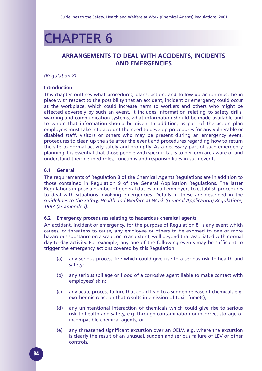## CHAPTER 6

### **ARRANGEMENTS TO DEAL WITH ACCIDENTS, INCIDENTS AND EMERGENCIES**

#### *(Regulation 8)*

#### **Introduction**

This chapter outlines what procedures, plans, action, and follow-up action must be in place with respect to the possibility that an accident, incident or emergency could occur at the workplace, which could increase harm to workers and others who might be affected adversely by such an event. It includes information relating to safety drills, warning and communication systems, what information should be made available and to whom that information should be given. In addition, as part of the action plan employers must take into account the need to develop procedures for any vulnerable or disabled staff, visitors or others who may be present during an emergency event, procedures to clean up the site after the event and procedures regarding how to return the site to normal activity safely and promptly. As a necessary part of such emergency planning it is essential that those people with specific tasks to perform are aware of and understand their defined roles, functions and responsibilities in such events.

#### **6.1 General**

The requirements of Regulation 8 of the Chemical Agents Regulations are in addition to those contained in Regulation 9 of the General Application Regulations. The latter Regulations impose a number of general duties on all employers to establish procedures to deal with situations involving emergencies. Details of these are described in the *Guidelines to the Safety, Health and Welfare at Work (General Application) Regulations, 1993 (as amended)*.

#### **6.2 Emergency procedures relating to hazardous chemical agents**

An accident, incident or emergency, for the purpose of Regulation 8, is any event which causes, or threatens to cause, any employee or others to be exposed to one or more hazardous substance on a scale, or to an extent, well beyond that associated with normal day-to-day activity. For example, any one of the following events may be sufficient to trigger the emergency actions covered by this Regulation:

- (a) any serious process fire which could give rise to a serious risk to health and safety;
- (b) any serious spillage or flood of a corrosive agent liable to make contact with employees' skin;
- (c) any acute process failure that could lead to a sudden release of chemicals e.g. exothermic reaction that results in emission of toxic fume(s);
- (d) any unintentional interaction of chemicals which could give rise to serious risk to health and safety, e.g. through contamination or incorrect storage of incompatible chemical agents; or
- (e) any threatened significant excursion over an OELV, e.g. where the excursion is clearly the result of an unusual, sudden and serious failure of LEV or other controls.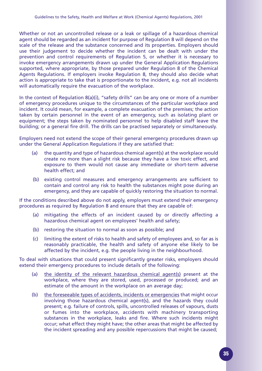Whether or not an uncontrolled release or a leak or spillage of a hazardous chemical agent should be regarded as an incident for purpose of Regulation 8 will depend on the scale of the release and the substance concerned and its properties. Employers should use their judgement to decide whether the incident can be dealt with under the prevention and control requirements of Regulation 5, or whether it is necessary to invoke emergency arrangements drawn up under the General Application Regulations supported, where appropriate, by those prepared under Regulation 8 of the Chemical Agents Regulations. If employers invoke Regulation 8, they should also decide what action is appropriate to take that is proportionate to the incident, e.g. not all incidents will automatically require the evacuation of the workplace.

In the context of Regulation 8(a)(i), "safety drills" can be any one or more of a number of emergency procedures unique to the circumstances of the particular workplace and incident. It could mean, for example, a complete evacuation of the premises; the action taken by certain personnel in the event of an emergency, such as isolating plant or equipment; the steps taken by nominated personnel to help disabled staff leave the building; or a general fire drill. The drills can be practised separately or simultaneously.

Employers need not extend the scope of their general emergency procedures drawn up under the General Application Regulations if they are satisfied that:

- (a) the quantity and type of hazardous chemical agent(s) at the workplace would create no more than a slight risk because they have a low toxic effect, and exposure to them would not cause any immediate or short-term adverse health effect; and
- (b) existing control measures and emergency arrangements are sufficient to contain and control any risk to health the substances might pose during an emergency, and they are capable of quickly restoring the situation to normal.

If the conditions described above do not apply, employers must extend their emergency procedures as required by Regulation 8 and ensure that they are capable of:

- (a) mitigating the effects of an incident caused by or directly affecting a hazardous chemical agent on employees' health and safety;
- (b) restoring the situation to normal as soon as possible; and
- (c) limiting the extent of risks to health and safety of employees and, so far as is reasonably practicable, the health and safety of anyone else likely to be affected by the incident, e.g. the people living in the neighbourhood.

To deal with situations that could present significantly greater risks, employers should extend their emergency procedures to include details of the following:

- (a) the identity of the relevant hazardous chemical agent(s) present at the workplace, where they are stored, used, processed or produced; and an estimate of the amount in the workplace on an average day;
- (b) the foreseeable types of accidents, incidents or emergencies that might occur involving those hazardous chemical agent(s), and the hazards they could present; e.g. failure of controls, spills, uncontrolled releases of vapours, dusts or fumes into the workplace, accidents with machinery transporting substances in the workplace, leaks and fire. Where such incidents might occur; what effect they might have; the other areas that might be affected by the incident spreading and any possible repercussions that might be caused;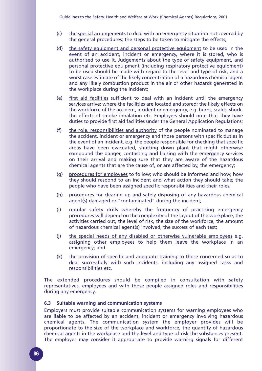- (c) the special arrangements to deal with an emergency situation not covered by the general procedures; the steps to be taken to mitigate the effects;
- (d) the safety equipment and personal protective equipment to be used in the event of an accident, incident or emergency, where it is stored, who is authorised to use it. Judgements about the type of safety equipment, and personal protective equipment (including respiratory protective equipment) to be used should be made with regard to the level and type of risk, and a worst case estimate of the likely concentration of a hazardous chemical agent and any likely combustion product in the air or other hazards generated in the workplace during the incident;
- (e) first aid facilities sufficient to deal with an incident until the emergency services arrive; where the facilities are located and stored; the likely effects on the workforce of the accident, incident or emergency, e.g. burns, scalds, shock, the effects of smoke inhalation etc. Employers should note that they have duties to provide first aid facilities under the General Application Regulations;
- (f) the role, responsibilities and authority of the people nominated to manage the accident, incident or emergency and those persons with specific duties in the event of an incident, e.g. the people responsible for checking that specific areas have been evacuated, shutting down plant that might otherwise compound the danger, contacting and liaising with the emergency services on their arrival and making sure that they are aware of the hazardous chemical agents that are the cause of, or are affected by, the emergency;
- (g) procedures for employees to follow; who should be informed and how; how they should respond to an incident and what action they should take; the people who have been assigned specific responsibilities and their roles;
- (h) procedures for clearing up and safely disposing of any hazardous chemical agent(s) damaged or "contaminated" during the incident;
- (i) regular safety drills whereby the frequency of practising emergency procedures will depend on the complexity of the layout of the workplace, the activities carried out, the level of risk, the size of the workforce, the amount of hazardous chemical agent(s) involved, the success of each test;
- (j) the special needs of any disabled or otherwise vulnerable employees e.g. assigning other employees to help them leave the workplace in an emergency; and
- (k) the provision of specific and adequate training to those concerned so as to deal successfully with such incidents, including any assigned tasks and responsibilities etc.

The extended procedures should be compiled in consultation with safety representatives, employees and with those people assigned roles and responsibilities during any emergency.

#### **6.3 Suitable warning and communication systems**

Employers must provide suitable communication systems for warning employees who are liable to be affected by an accident, incident or emergency involving hazardous chemical agents. The communication system the employer provides will be proportionate to the size of the workplace and workforce, the quantity of hazardous chemical agents in the workplace and the level and type of risk the substances present. The employer may consider it appropriate to provide warning signals for different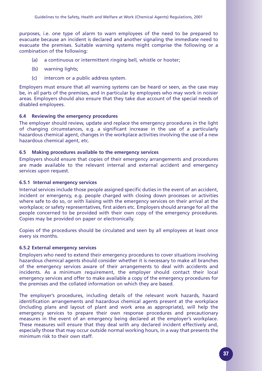purposes, i.e. one type of alarm to warn employees of the need to be prepared to evacuate because an incident is declared and another signaling the immediate need to evacuate the premises. Suitable warning systems might comprise the following or a combination of the following:

- (a) a continuous or intermittent ringing bell, whistle or hooter;
- (b) warning lights;
- (c) intercom or a public address system.

Employers must ensure that all warning systems can be heard or seen, as the case may be, in all parts of the premises, and in particular by employees who may work in noisier areas. Employers should also ensure that they take due account of the special needs of disabled employees.

#### **6.4 Reviewing the emergency procedures**

The employer should review, update and replace the emergency procedures in the light of changing circumstances, e.g. a significant increase in the use of a particularly hazardous chemical agent, changes in the workplace activities involving the use of a new hazardous chemical agent, etc.

#### **6.5 Making procedures available to the emergency services**

Employers should ensure that copies of their emergency arrangements and procedures are made available to the relevant internal and external accident and emergency services upon request.

#### **6.5.1 Internal emergency services**

Internal services include those people assigned specific duties in the event of an accident, incident or emergency, e.g. people charged with closing down processes or activities where safe to do so, or with liaising with the emergency services on their arrival at the workplace; or safety representatives, first aiders etc. Employers should arrange for all the people concerned to be provided with their own copy of the emergency procedures. Copies may be provided on paper or electronically.

Copies of the procedures should be circulated and seen by all employees at least once every six months.

#### **6.5.2 External emergency services**

Employers who need to extend their emergency procedures to cover situations involving hazardous chemical agents should consider whether it is necessary to make all branches of the emergency services aware of their arrangements to deal with accidents and incidents. As a minimum requirement, the employer should contact their local emergency services and offer to make available a copy of the emergency procedures for the premises and the collated information on which they are based.

The employer's procedures, including details of the relevant work hazards, hazard identification arrangements and hazardous chemical agents present at the workplace (including plans and layout of plant and work area as appropriate), will help the emergency services to prepare their own response procedures and precautionary measures in the event of an emergency being declared at the employer's workplace. These measures will ensure that they deal with any declared incident effectively and, especially those that may occur outside normal working hours, in a way that presents the minimum risk to their own staff.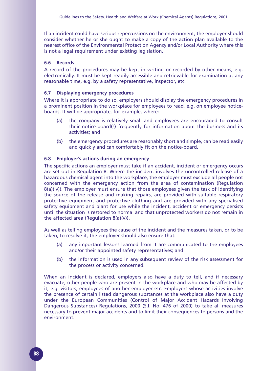If an incident could have serious repercussions on the environment, the employer should consider whether he or she ought to make a copy of the action plan available to the nearest office of the Environmental Protection Agency and/or Local Authority where this is not a legal requirement under existing legislation.

#### **6.6 Records**

A record of the procedures may be kept in writing or recorded by other means, e.g. electronically. It must be kept readily accessible and retrievable for examination at any reasonable time, e.g. by a safety representative, inspector, etc.

#### **6.7 Displaying emergency procedures**

Where it is appropriate to do so, employers should display the emergency procedures in a prominent position in the workplace for employees to read, e.g. on employee noticeboards. It will be appropriate, for example, where:

- (a) the company is relatively small and employees are encouraged to consult their notice-board(s) frequently for information about the business and its activities; and
- (b) the emergency procedures are reasonably short and simple, can be read easily and quickly and can comfortably fit on the notice-board.

#### **6.8 Employer's actions during an emergency**

The specific actions an employer must take if an accident, incident or emergency occurs are set out in Regulation 8. Where the incident involves the uncontrolled release of a hazardous chemical agent into the workplace, the employer must exclude all people not concerned with the emergency action from the area of contamination (Regulation 8(a)(iv)). The employer must ensure that those employees given the task of identifying the source of the release and making repairs, are provided with suitable respiratory protective equipment and protective clothing and are provided with any specialised safety equipment and plant for use while the incident, accident or emergency persists until the situation is restored to normal and that unprotected workers do not remain in the affected area (Regulation 8(a)(v)).

As well as telling employees the cause of the incident and the measures taken, or to be taken, to resolve it, the employer should also ensure that:

- (a) any important lessons learned from it are communicated to the employees and/or their appointed safety representatives; and
- (b) the information is used in any subsequent review of the risk assessment for the process or activity concerned.

When an incident is declared, employers also have a duty to tell, and if necessary evacuate, other people who are present in the workplace and who may be affected by it, e.g. visitors, employees of another employer etc. Employers whose activities involve the presence of certain listed dangerous substances at the workplace also have a duty under the European Communities (Control of Major Accident Hazards Involving Dangerous Substances) Regulations, 2000 (S.I. No. 476 of 2000) to take all measures necessary to prevent major accidents and to limit their consequences to persons and the environment.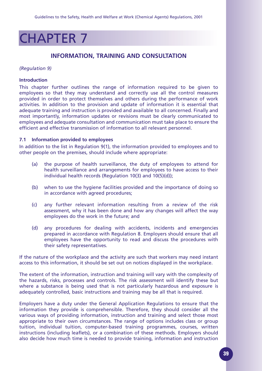## CHAPTER 7

### **INFORMATION, TRAINING AND CONSULTATION**

#### *(Regulation 9)*

#### **Introduction**

This chapter further outlines the range of information required to be given to employees so that they may understand and correctly use all the control measures provided in order to protect themselves and others during the performance of work activities. In addition to the provision and update of information it is essential that adequate training and instruction is provided and available to all concerned. Finally and most importantly, information updates or revisions must be clearly communicated to employees and adequate consultation and communication must take place to ensure the efficient and effective transmission of information to all relevant personnel.

#### **7.1 Information provided to employees**

In addition to the list in Regulation 9(1), the information provided to employees and to other people on the premises, should include where appropriate:

- (a) the purpose of health surveillance, the duty of employees to attend for health surveillance and arrangements for employees to have access to their individual health records (Regulation 10(3) and 10(5)(d));
- (b) when to use the hygiene facilities provided and the importance of doing so in accordance with agreed procedures;
- (c) any further relevant information resulting from a review of the risk assessment, why it has been done and how any changes will affect the way employees do the work in the future; and
- (d) any procedures for dealing with accidents, incidents and emergencies prepared in accordance with Regulation 8. Employers should ensure that all employees have the opportunity to read and discuss the procedures with their safety representatives.

If the nature of the workplace and the activity are such that workers may need instant access to this information, it should be set out on notices displayed in the workplace.

The extent of the information, instruction and training will vary with the complexity of the hazards, risks, processes and controls. The risk assessment will identify these but where a substance is being used that is not particularly hazardous and exposure is adequately controlled, basic instructions and training may be all that is required.

Employers have a duty under the General Application Regulations to ensure that the information they provide is comprehensible. Therefore, they should consider all the various ways of providing information, instruction and training and select those most appropriate to their own circumstances. The range of options includes class or group tuition, individual tuition, computer-based training programmes, courses, written instructions (including leaflets), or a combination of these methods. Employers should also decide how much time is needed to provide training, information and instruction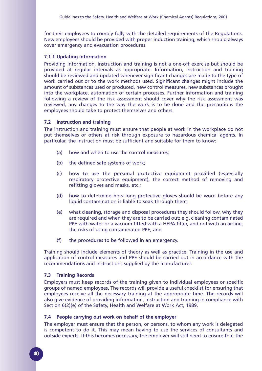for their employees to comply fully with the detailed requirements of the Regulations. New employees should be provided with proper induction training, which should always cover emergency and evacuation procedures.

#### **7.1.1 Updating information**

Providing information, instruction and training is not a one-off exercise but should be provided at regular intervals as appropriate. Information, instruction and training should be reviewed and updated whenever significant changes are made to the type of work carried out or to the work methods used. Significant changes might include the amount of substances used or produced, new control measures, new substances brought into the workplace, automation of certain processes. Further information and training following a review of the risk assessment should cover why the risk assessment was reviewed, any changes to the way the work is to be done and the precautions the employees should take to protect themselves and others.

#### **7.2 Instruction and training**

The instruction and training must ensure that people at work in the workplace do not put themselves or others at risk through exposure to hazardous chemical agents. In particular, the instruction must be sufficient and suitable for them to know:

- (a) how and when to use the control measures;
- (b) the defined safe systems of work;
- (c) how to use the personal protective equipment provided (especially respiratory protective equipment), the correct method of removing and refitting gloves and masks, etc.;
- (d) how to determine how long protective gloves should be worn before any liquid contamination is liable to soak through them;
- (e) what cleaning, storage and disposal procedures they should follow, why they are required and when they are to be carried out; e.g. cleaning contaminated PPE with water or a vacuum fitted with a HEPA filter, and not with an airline; the risks of using contaminated PPE; and
- (f) the procedures to be followed in an emergency.

Training should include elements of theory as well as practice. Training in the use and application of control measures and PPE should be carried out in accordance with the recommendations and instructions supplied by the manufacturer.

#### **7.3 Training Records**

Employers must keep records of the training given to individual employees or specific groups of named employees. The records will provide a useful checklist for ensuring that employees receive all the necessary training at the appropriate time. The records will also give evidence of providing information, instruction and training in compliance with Section 6(2)(e) of the Safety, Health and Welfare at Work Act, 1989.

#### **7.4 People carrying out work on behalf of the employer**

The employer must ensure that the person, or persons, to whom any work is delegated is competent to do it. This may mean having to use the services of consultants and outside experts. If this becomes necessary, the employer will still need to ensure that the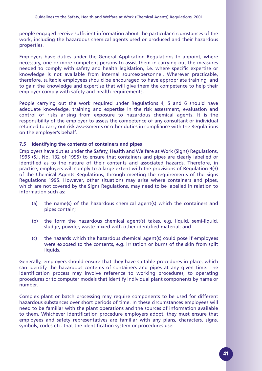people engaged receive sufficient information about the particular circumstances of the work, including the hazardous chemical agents used or produced and their hazardous properties.

Employers have duties under the General Application Regulations to appoint, where necessary, one or more competent persons to assist them in carrying out the measures needed to comply with safety and health legislation, i.e. where specific expertise or knowledge is not available from internal sources/personnel. Wherever practicable, therefore, suitable employees should be encouraged to have appropriate training, and to gain the knowledge and expertise that will give them the competence to help their employer comply with safety and health requirements.

People carrying out the work required under Regulations 4, 5 and 6 should have adequate knowledge, training and expertise in the risk assessment, evaluation and control of risks arising from exposure to hazardous chemical agents. It is the responsibility of the employer to assess the competence of any consultant or individual retained to carry out risk assessments or other duties in compliance with the Regulations on the employer's behalf.

#### **7.5 Identifying the contents of containers and pipes**

Employers have duties under the Safety, Health and Welfare at Work (Signs) Regulations, 1995 (S.I. No. 132 of 1995) to ensure that containers and pipes are clearly labelled or identified as to the nature of their contents and associated hazards. Therefore, in practice, employers will comply to a large extent with the provisions of Regulation 9(3) of the Chemical Agents Regulations, through meeting the requirements of the Signs Regulations 1995. However, other situations may arise where containers and pipes, which are not covered by the Signs Regulations, may need to be labelled in relation to information such as:

- (a) the name(s) of the hazardous chemical agent(s) which the containers and pipes contain;
- (b) the form the hazardous chemical agent(s) takes, e.g. liquid, semi-liquid, sludge, powder, waste mixed with other identified material; and
- (c) the hazards which the hazardous chemical agent(s) could pose if employees were exposed to the contents, e.g. irritation or burns of the skin from spilt liquids.

Generally, employers should ensure that they have suitable procedures in place, which can identify the hazardous contents of containers and pipes at any given time. The identification process may involve reference to working procedures, to operating procedures or to computer models that identify individual plant components by name or number.

Complex plant or batch processing may require components to be used for different hazardous substances over short periods of time. In these circumstances employees will need to be familiar with the plant operations and the sources of information available to them. Whichever identification procedure employers adopt, they must ensure that employees and safety representatives are familiar with any plans, characters, signs, symbols, codes etc. that the identification system or procedures use.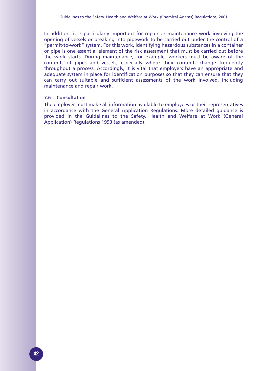In addition, it is particularly important for repair or maintenance work involving the opening of vessels or breaking into pipework to be carried out under the control of a "permit-to-work" system. For this work, identifying hazardous substances in a container or pipe is one essential element of the risk assessment that must be carried out before the work starts. During maintenance, for example, workers must be aware of the contents of pipes and vessels, especially where their contents change frequently throughout a process. Accordingly, it is vital that employers have an appropriate and adequate system in place for identification purposes so that they can ensure that they can carry out suitable and sufficient assessments of the work involved, including maintenance and repair work.

#### **7.6 Consultation**

The employer must make all information available to employees or their representatives in accordance with the General Application Regulations. More detailed guidance is provided in the Guidelines to the Safety, Health and Welfare at Work (General Application) Regulations 1993 (as amended).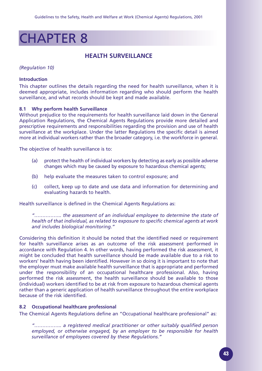## CHAPTER 8

### **HEALTH SURVEILLANCE**

*(Regulation 10)*

#### **Introduction**

This chapter outlines the details regarding the need for health surveillance, when it is deemed appropriate, includes information regarding who should perform the health surveillance, and what records should be kept and made available.

#### **8.1 Why perform health Surveillance**

Without prejudice to the requirements for health surveillance laid down in the General Application Regulations, the Chemical Agents Regulations provide more detailed and prescriptive requirements and responsibilities regarding the provision and use of health surveillance at the workplace. Under the latter Regulations the specific detail is aimed more at individual workers rather than the broader category, i.e. the workforce in general.

The objective of health surveillance is to:

- (a) protect the health of individual workers by detecting as early as possible adverse changes which may be caused by exposure to hazardous chemical agents;
- (b) help evaluate the measures taken to control exposure; and
- (c) collect, keep up to date and use data and information for determining and evaluating hazards to health.

Health surveillance is defined in the Chemical Agents Regulations as:

*"…………….. the assessment of an individual employee to determine the state of health of that individual, as related to exposure to specific chemical agents at work and includes biological monitoring."*

Considering this definition it should be noted that the identified need or requirement for health surveillance arises as an outcome of the risk assessment performed in accordance with Regulation 4. In other words, having performed the risk assessment, it might be concluded that health surveillance should be made available due to a risk to workers' health having been identified. However in so doing it is important to note that the employer must make available health surveillance that is appropriate and performed under the responsibility of an occupational healthcare professional. Also, having performed the risk assessment, the health surveillance should be available to those (individual) workers identified to be at risk from exposure to hazardous chemical agents rather than a generic application of health surveillance throughout the entire workplace because of the risk identified.

#### **8.2 Occupational healthcare professional**

The Chemical Agents Regulations define an "Occupational healthcare professional" as:

*"…………….. a registered medical practitioner or other suitably qualified person employed, or otherwise engaged, by an employer to be responsible for health surveillance of employees covered by these Regulations."*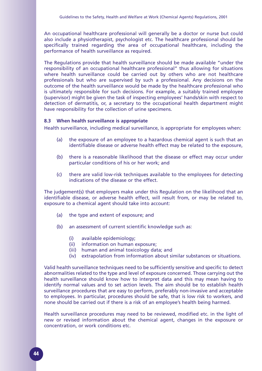An occupational healthcare professional will generally be a doctor or nurse but could also include a physiotherapist, psychologist etc. The healthcare professional should be specifically trained regarding the area of occupational healthcare, including the performance of health surveillance as required.

The Regulations provide that health surveillance should be made available "under the responsibility of an occupational healthcare professional" thus allowing for situations where health surveillance could be carried out by others who are not healthcare professionals but who are supervised by such a professional. Any decisions on the outcome of the health surveillance would be made by the healthcare professional who is ultimately responsible for such decisions. For example, a suitably trained employee (supervisor) might be given the task of inspecting employees' hands/skin with respect to detection of dermatitis, or, a secretary to the occupational health department might have responsibility for the collection of urine specimens.

#### **8.3 When health surveillance is appropriate**

Health surveillance, including medical surveillance, is appropriate for employees when:

- (a) the exposure of an employee to a hazardous chemical agent is such that an identifiable disease or adverse health effect may be related to the exposure,
- (b) there is a reasonable likelihood that the disease or effect may occur under particular conditions of his or her work; and
- (c) there are valid low-risk techniques available to the employees for detecting indications of the disease or the effect.

The judgement(s) that employers make under this Regulation on the likelihood that an identifiable disease, or adverse health effect, will result from, or may be related to, exposure to a chemical agent should take into account:

- (a) the type and extent of exposure; and
- (b) an assessment of current scientific knowledge such as:
	- (i) available epidemiology;
	- (ii) information on human exposure;
	- (iii) human and animal toxicology data; and
	- (iv) extrapolation from information about similar substances or situations.

Valid health surveillance techniques need to be sufficiently sensitive and specific to detect abnormalities related to the type and level of exposure concerned. Those carrying out the health surveillance should know how to interpret data and this may mean having to identify normal values and to set action levels. The aim should be to establish health surveillance procedures that are easy to perform, preferably non-invasive and acceptable to employees. In particular, procedures should be safe, that is low risk to workers, and none should be carried out if there is a risk of an employee's health being harmed.

Health surveillance procedures may need to be reviewed, modified etc. in the light of new or revised information about the chemical agent, changes in the exposure or concentration, or work conditions etc.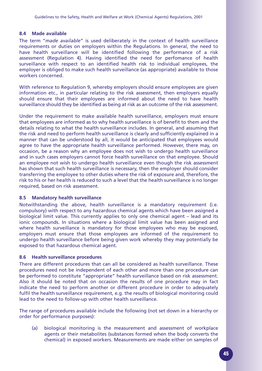#### **8.4 Made available**

The term "*made available*" is used deliberately in the context of health surveillance requirements or duties on employers within the Regulations. In general, the need to have health surveillance will be identified following the performance of a risk assessment (Regulation 4). Having identified the need for perfomance of health surveillance with respect to an identified health risk to individual employees, the employer is obliged to make such health surveillance (as appropriate) available to those workers concerned.

With reference to Regulation 9, whereby employers should ensure employees are given information etc., in particular relating to the risk assessment, then employers equally should ensure that their employees are informed about the need to have health surveillance should they be identified as being at risk as an outcome of the risk assessment.

Under the requirement to make available health surveillance, employers must ensure that employees are informed as to why health surveillance is of benefit to them and the details relating to what the health surveillance includes. In general, and assuming that the risk and need to perform health surveillance is clearly and sufficiently explained in a manner that can be understood by all, it would be anticipated that employees would agree to have the appropriate health surveillance performed. However, there may, on occasion, be a reason why an employee does not wish to undergo health surveillance and in such cases employers cannot force health surveillance on that employee. Should an employee not wish to undergo health surveillance even though the risk assessment has shown that such health surveillance is necessary, then the employer should consider transferring the employee to other duties where the risk of exposure and, therefore, the risk to his or her health is reduced to such a level that the health surveillance is no longer required, based on risk assessment.

#### **8.5 Mandatory health surveillance**

Notwithstanding the above, health surveillance is a mandatory requirement (i.e. compulsory) with respect to any hazardous chemical agents which have been assigned a biological limit value. This currently applies to only one chemical agent – lead and its ionic compounds. In situations where a biological limit value has been assigned and where health surveillance is mandatory for those employees who may be exposed, employers must ensure that those employees are informed of the requirement to undergo health surveillance before being given work whereby they may potentially be exposed to that hazardous chemical agent.

#### **8.6 Health surveillance procedures**

There are different procedures that can all be considered as health surveillance. These procedures need not be independent of each other and more than one procedure can be performed to constitute "appropriate" health surveillance based on risk assessment. Also it should be noted that on occasion the results of one procedure may in fact indicate the need to perform another or different procedure in order to adequately fulfil the health surveillance requirement, e.g. the results of biological monitoring could lead to the need to follow-up with other health surveillance.

The range of procedures available include the following (not set down in a hierarchy or order for performance purposes):

(a) biological monitoring is the measurement and assessment of workplace agents or their metabolites (substances formed when the body converts the chemical) in exposed workers. Measurements are made either on samples of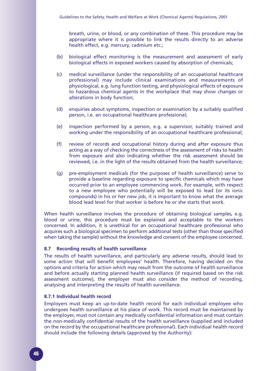breath, urine, or blood, or any combination of these. This procedure may be appropriate where it is possible to link the results directly to an adverse health effect, e.g. mercury, cadmium etc.;

- (b) biological effect monitoring is the measurement and assessment of early biological effects in exposed workers caused by absorption of chemicals;
- (c) medical surveillance (under the responsibility of an occupational healthcare professional) may include clinical examinations and measurements of physiological, e.g. lung function testing, and physiological effects of exposure to hazardous chemical agents in the workplace that may show changes or alterations in body function;
- (d) enquiries about symptoms, inspection or examination by a suitably qualified person, i.e. an occupational healthcare professional;
- (e) inspection performed by a person, e.g. a supervisor, suitably trained and working under the responsibility of an occupational healthcare professional;
- (f) review of records and occupational history during and after exposure thus acting as a way of checking the correctness of the assessment of risks to health from exposure and also indicating whether the risk assessment should be reviewed, i.e. in the light of the results obtained from the health surveillance;
- (g) pre-employment medicals (for the purposes of health surveillance) serve to provide a baseline regarding exposure to specific chemicals which may have occurred prior to an employee commencing work. For example, with respect to a new employee who potentially will be exposed to lead (or its ionic compounds) in his or her new job, it is important to know what the average blood lead level for that worker is before he or she starts that work.

When health surveillance involves the procedure of obtaining biological samples, e.g. blood or urine, this procedure must be explained and acceptable to the workers concerned. In addition, it is unethical for an occupational healthcare professional who acquires such a biological specimen to perform additional tests (other than those specified when taking the sample) without the knowledge and consent of the employee concerned.

#### **8.7 Recording results of health surveillance**

The results of health surveillance, and particularly any adverse results, should lead to some action that will benefit employees' health. Therefore, having decided on the options and criteria for action which may result from the outcome of health surveillance and before actually starting planned health surveillance (if required based on the risk assessment outcome), the employer must also consider the method of recording, analysing and interpreting the results of health surveillance.

#### **8.7.1 Individual health record**

Employers must keep an up-to-date health record for each individual employee who undergoes health surveillance at his place of work. This record must be maintained by the employer, must not contain any medically confidential information and must contain the non-medically confidential results of the health surveillance (supplied and included on the record by the occupational healthcare professional). Each individual health record should include the following details (approved by the Authority):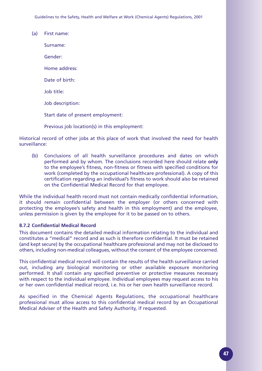Guidelines to the Safety, Health and Welfare at Work (Chemical Agents) Regulations, 2001

(a) First name: Surname: Gender: Home address: Date of birth: Job title: Job description: Start date of present employment: Previous job location(s) in this employment:

Historical record of other jobs at this place of work that involved the need for health surveillance:

(b) Conclusions of all health surveillance procedures and dates on which performed and by whom. The conclusions recorded here should relate **only** to the employee's fitness, non-fitness or fitness with specified conditions for work (completed by the occupational healthcare professional). A copy of this certification regarding an individual's fitness to work should also be retained on the Confidential Medical Record for that employee.

While the individual health record must not contain medically confidential information, it should remain confidential between the employer (or others concerned with protecting the employee's safety and health in this employment) and the employee, unless permission is given by the employee for it to be passed on to others.

#### **8.7.2 Confidential Medical Record**

This document contains the detailed medical information relating to the individual and constitutes a "medical" record and as such is therefore confidential. It must be retained (and kept secure) by the occupational healthcare professional and may not be disclosed to others, including non-medical colleagues, without the consent of the employee concerned.

This confidential medical record will contain the results of the health surveillance carried out, including any biological monitoring or other available exposure monitoring performed. It shall contain any specified preventive or protective measures necessary with respect to the individual employee. Individual employees may request access to his or her own confidential medical record, i.e. his or her own health surveillance record.

As specified in the Chemical Agents Regulations, the occupational healthcare professional must allow access to this confidential medical record by an Occupational Medical Adviser of the Health and Safety Authority, if requested.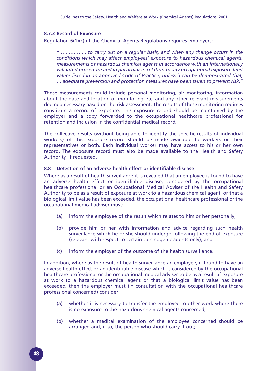#### **8.7.3 Record of Exposure**

Regulation 6(1)(c) of the Chemical Agents Regulations requires employers:

*"…………….. to carry out on a regular basis, and when any change occurs in the conditions which may affect employees' exposure to hazardous chemical agents, measurements of hazardous chemical agents in accordance with an internationally validated procedure and in particular in relation to any occupational exposure limit values listed in an approved Code of Practice, unless it can be demonstrated that, … adequate prevention and protection measures have been taken to prevent risk."*

Those measurements could include personal monitoring, air monitoring, information about the date and location of monitoring etc. and any other relevant measurements deemed necessary based on the risk assessment. The results of these monitoring regimes constitute a record of exposure. This exposure record should be maintained by the employer and a copy forwarded to the occupational healthcare professional for retention and inclusion in the confidential medical record.

The collective results (without being able to identify the specific results of individual workers) of this exposure record should be made available to workers or their representatives or both. Each individual worker may have access to his or her own record. The exposure record must also be made available to the Health and Safety Authority, if requested.

#### **8.8 Detection of an adverse health effect or identifiable disease**

Where as a result of health surveillance it is revealed that an employee is found to have an adverse health effect or identifiable disease, considered by the occupational healthcare professional or an Occupational Medical Adviser of the Health and Safety Authority to be as a result of exposure at work to a hazardous chemical agent, or that a biological limit value has been exceeded, the occupational healthcare professional or the occupational medical adviser must:

- (a) inform the employee of the result which relates to him or her personally;
- (b) provide him or her with information and advice regarding such health surveillance which he or she should undergo following the end of exposure (relevant with respect to certain carcinogenic agents only); and
- (c) inform the employer of the outcome of the health surveillance.

In addition, where as the result of health surveillance an employee, if found to have an adverse health effect or an identifiable disease which is considered by the occupational healthcare professional or the occupational medical adviser to be as a result of exposure at work to a hazardous chemical agent or that a biological limit value has been exceeded, then the employer must (in consultation with the occupational healthcare professional concerned) consider:

- (a) whether it is necessary to transfer the employee to other work where there is no exposure to the hazardous chemical agents concerned;
- (b) whether a medical examination of the employee concerned should be arranged and, if so, the person who should carry it out;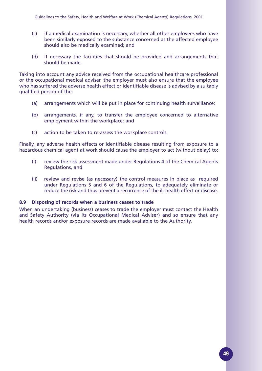- (c) if a medical examination is necessary, whether all other employees who have been similarly exposed to the substance concerned as the affected employee should also be medically examined; and
- (d) if necessary the facilities that should be provided and arrangements that should be made.

Taking into account any advice received from the occupational healthcare professional or the occupational medical adviser, the employer must also ensure that the employee who has suffered the adverse health effect or identifiable disease is advised by a suitably qualified person of the:

- (a) arrangements which will be put in place for continuing health surveillance;
- (b) arrangements, if any, to transfer the employee concerned to alternative employment within the workplace; and
- (c) action to be taken to re-assess the workplace controls.

Finally, any adverse health effects or identifiable disease resulting from exposure to a hazardous chemical agent at work should cause the employer to act (without delay) to:

- (i) review the risk assessment made under Regulations 4 of the Chemical Agents Regulations, and
- (ii) review and revise (as necessary) the control measures in place as required under Regulations 5 and 6 of the Regulations, to adequately eliminate or reduce the risk and thus prevent a recurrence of the ill-health effect or disease.

#### **8.9 Disposing of records when a business ceases to trade**

When an undertaking (business) ceases to trade the employer must contact the Health and Safety Authority (via its Occupational Medical Adviser) and so ensure that any health records and/or exposure records are made available to the Authority.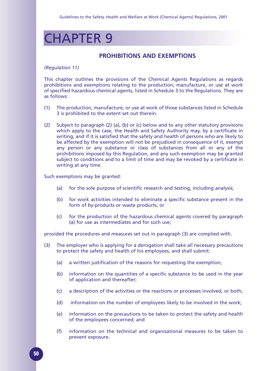## CHAPTER 9

### **PROHIBITIONS AND EXEMPTIONS**

#### *(Regulation 11)*

This chapter outlines the provisions of the Chemical Agents Regulations as regards prohibitions and exemptions relating to the production, manufacture, or use at work of specified hazardous chemical agents, listed in Schedule 3 to the Regulations. They are as follows:

- (1) The production, manufacture, or use at work of those substances listed in Schedule 3 is prohibited to the extent set out therein.
- (2) Subject to paragraph (2) (a), (b) or (c) below and to any other statutory provisions which apply to the case, the Health and Safety Authority may, by a certificate in writing, and if it is satisfied that the safety and health of persons who are likely to be affected by the exemption will not be prejudiced in consequence of it, exempt any person or any substance or class of substances from all or any of the prohibitions imposed by this Regulation, and any such exemption may be granted subject to conditions and to a limit of time and may be revoked by a certificate in writing at any time.

Such exemptions may be granted:

- (a) for the sole purpose of scientific research and testing, including analysis;
- (b) for work activities intended to eliminate a specific substance present in the form of by-products or waste products; or
- (c) for the production of the hazardous chemical agents covered by paragraph (a) for use as intermediates and for such use;

provided the procedures and measures set out in paragraph (3) are complied with.

- (3) The employer who is applying for a derogation shall take all necessary precautions to protect the safety and health of his employees, and shall submit:
	- (a) a written justification of the reasons for requesting the exemption;
	- (b) information on the quantities of a specific substance to be used in the year of application and thereafter;
	- (c) a description of the activities or the reactions or processes involved, or both;
	- (d) information on the number of employees likely to be involved in the work;
	- (e) information on the precautions to be taken to protect the safety and health of the employees concerned; and
	- (f) information on the technical and organisational measures to be taken to prevent exposure.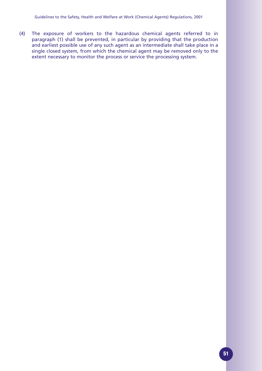(4) The exposure of workers to the hazardous chemical agents referred to in paragraph (1) shall be prevented, in particular by providing that the production and earliest possible use of any such agent as an intermediate shall take place in a single closed system, from which the chemical agent may be removed only to the extent necessary to monitor the process or service the processing system.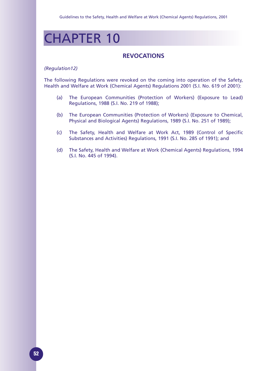## CHAPTER 10

### **REVOCATIONS**

#### *(Regulation12)*

The following Regulations were revoked on the coming into operation of the Safety, Health and Welfare at Work (Chemical Agents) Regulations 2001 (S.I. No. 619 of 2001):

- (a) The European Communities (Protection of Workers) (Exposure to Lead) Regulations, 1988 (S.I. No. 219 of 1988);
- (b) The European Communities (Protection of Workers) (Exposure to Chemical, Physical and Biological Agents) Regulations, 1989 (S.I. No. 251 of 1989);
- (c) The Safety, Health and Welfare at Work Act, 1989 (Control of Specific Substances and Activities) Regulations, 1991 (S.I. No. 285 of 1991); and
- (d) The Safety, Health and Welfare at Work (Chemical Agents) Regulations, 1994 (S.I. No. 445 of 1994).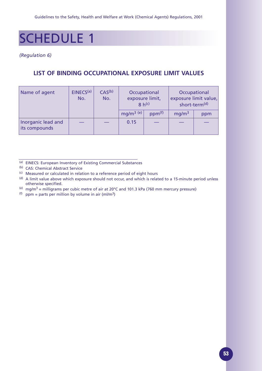## SCHEDULE 1

*(Regulation 6)*

### **LIST OF BINDING OCCUPATIONAL EXPOSURE LIMIT VALUES**

| Name of agent                       | EINECS <sup>(a)</sup><br>No. | CAS <sup>(b)</sup><br>No. | Occupational<br>exposure limit,<br>$8 h^{(c)}$ |                    |                   | Occupational<br>exposure limit value,<br>short-term <sup>(d)</sup> |
|-------------------------------------|------------------------------|---------------------------|------------------------------------------------|--------------------|-------------------|--------------------------------------------------------------------|
|                                     |                              |                           | $mq/m^3$ (e)                                   | ppm <sup>(f)</sup> | mg/m <sup>3</sup> | ppm                                                                |
| Inorganic lead and<br>its compounds |                              |                           | 0.15                                           |                    |                   |                                                                    |

- (a) EINECS: European Inventory of Existing Commercial Substances
- (b) CAS: Chemical Abstract Service
- (c) Measured or calculated in relation to a reference period of eight hours
- (d) A limit value above which exposure should not occur, and which is related to a 15-minute period unless otherwise specified.
- (e) mg/m<sup>3</sup> = milligrams per cubic metre of air at 20°C and 101.3 kPa (760 mm mercury pressure)
- (f) ppm = parts per million by volume in air (ml/m<sup>3</sup>)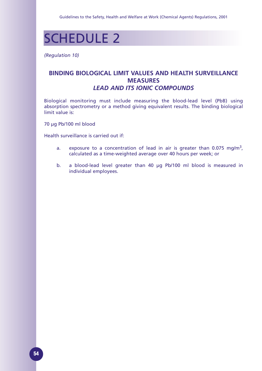

*(Regulation 10)*

### **BINDING BIOLOGICAL LIMIT VALUES AND HEALTH SURVEILLANCE MEASURES**  *LEAD AND ITS IONIC COMPOUNDS*

Biological monitoring must include measuring the blood-lead level (PbB) using absorption spectrometry or a method giving equivalent results. The binding biological limit value is:

70 µg Pb/100 ml blood

Health surveillance is carried out if:

- a. exposure to a concentration of lead in air is greater than  $0.075 \text{ mg/m}^3$ , calculated as a time-weighted average over 40 hours per week; or
- b. a blood-lead level greater than 40 µg Pb/100 ml blood is measured in individual employees.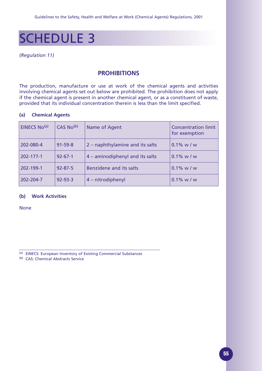## SCHEDULE 3

#### *(Regulation 11)*

### **PROHIBITIONS**

The production, manufacture or use at work of the chemical agents and activities involving chemical agents set out below are prohibited. The prohibition does not apply if the chemical agent is present in another chemical agent, or as a constituent of waste, provided that its individual concentration therein is less than the limit specified.

#### **(a) Chemical Agents**

| EINECS No(a) | CAS No <sup>(b)</sup> | Name of Agent                   | <b>Concentration limit</b><br>for exemption |
|--------------|-----------------------|---------------------------------|---------------------------------------------|
| 202-080-4    | $91 - 59 - 8$         | 2 - naphthylamine and its salts | $0.1\%$ w / w                               |
| 202-177-1    | $92 - 67 - 1$         | 4 – aminodiphenyl and its salts | $0.1\% \text{ w} / \text{w}$                |
| 202-199-1    | $92 - 87 - 5$         | Benzidene and its salts         | $0.1\% \text{ w} / \text{w}$                |
| 202-204-7    | $92 - 93 - 3$         | 4 – nitrodiphenyl               | $0.1\% \text{ w/w}$                         |

#### **(b) Work Activities**

None

(a) EINECS: European Inventory of Existing Commercial Substances

(b) CAS: Chemical Abstracts Service